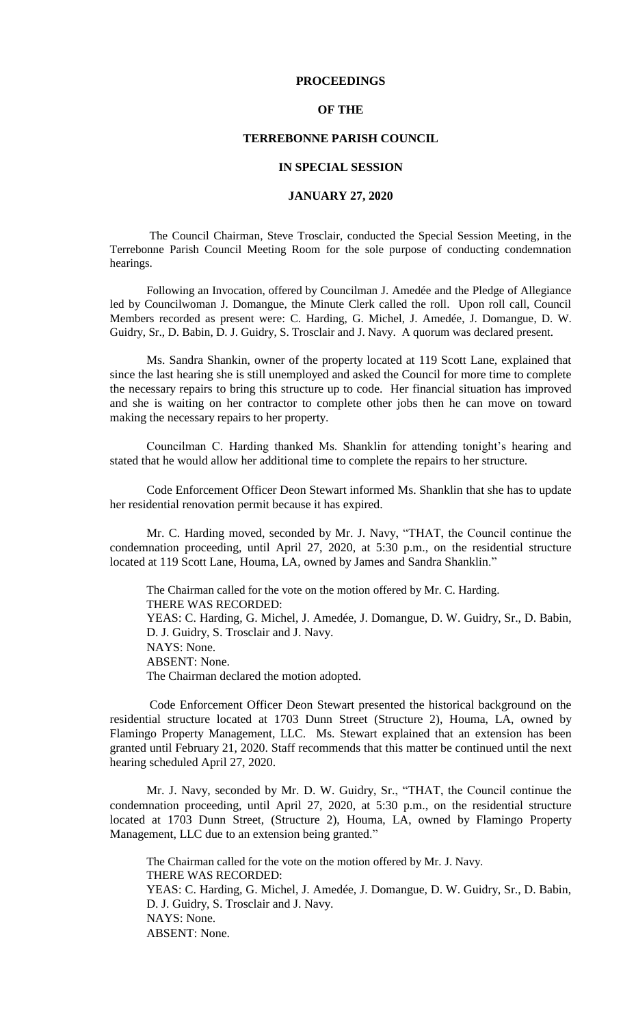## **PROCEEDINGS**

#### **OF THE**

## **TERREBONNE PARISH COUNCIL**

#### **IN SPECIAL SESSION**

## **JANUARY 27, 2020**

The Council Chairman, Steve Trosclair, conducted the Special Session Meeting, in the Terrebonne Parish Council Meeting Room for the sole purpose of conducting condemnation hearings.

Following an Invocation, offered by Councilman J. Amedée and the Pledge of Allegiance led by Councilwoman J. Domangue, the Minute Clerk called the roll. Upon roll call, Council Members recorded as present were: C. Harding, G. Michel, J. Amedée, J. Domangue, D. W. Guidry, Sr., D. Babin, D. J. Guidry, S. Trosclair and J. Navy. A quorum was declared present.

Ms. Sandra Shankin, owner of the property located at 119 Scott Lane, explained that since the last hearing she is still unemployed and asked the Council for more time to complete the necessary repairs to bring this structure up to code. Her financial situation has improved and she is waiting on her contractor to complete other jobs then he can move on toward making the necessary repairs to her property.

Councilman C. Harding thanked Ms. Shanklin for attending tonight's hearing and stated that he would allow her additional time to complete the repairs to her structure.

Code Enforcement Officer Deon Stewart informed Ms. Shanklin that she has to update her residential renovation permit because it has expired.

Mr. C. Harding moved, seconded by Mr. J. Navy, "THAT, the Council continue the condemnation proceeding, until April 27, 2020, at 5:30 p.m., on the residential structure located at 119 Scott Lane, Houma, LA, owned by James and Sandra Shanklin."

The Chairman called for the vote on the motion offered by Mr. C. Harding. THERE WAS RECORDED: YEAS: C. Harding, G. Michel, J. Amedée, J. Domangue, D. W. Guidry, Sr., D. Babin, D. J. Guidry, S. Trosclair and J. Navy. NAYS: None. ABSENT: None. The Chairman declared the motion adopted.

Code Enforcement Officer Deon Stewart presented the historical background on the residential structure located at 1703 Dunn Street (Structure 2), Houma, LA, owned by Flamingo Property Management, LLC. Ms. Stewart explained that an extension has been granted until February 21, 2020. Staff recommends that this matter be continued until the next hearing scheduled April 27, 2020.

Mr. J. Navy, seconded by Mr. D. W. Guidry, Sr., "THAT, the Council continue the condemnation proceeding, until April 27, 2020, at 5:30 p.m., on the residential structure located at 1703 Dunn Street, (Structure 2), Houma, LA, owned by Flamingo Property Management, LLC due to an extension being granted."

The Chairman called for the vote on the motion offered by Mr. J. Navy. THERE WAS RECORDED: YEAS: C. Harding, G. Michel, J. Amedée, J. Domangue, D. W. Guidry, Sr., D. Babin, D. J. Guidry, S. Trosclair and J. Navy. NAYS: None. ABSENT: None.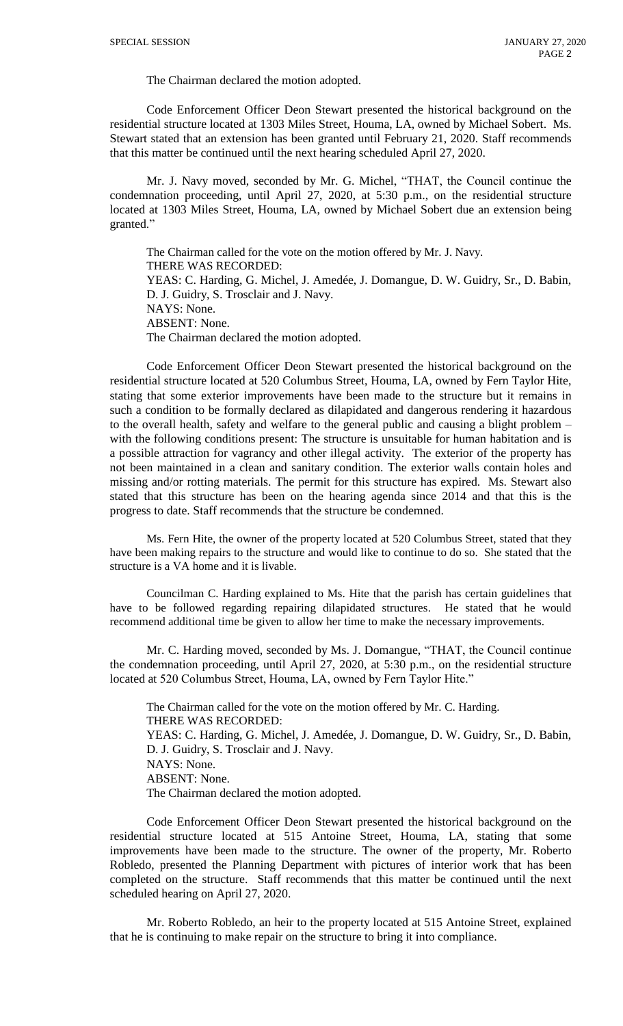The Chairman declared the motion adopted.

Code Enforcement Officer Deon Stewart presented the historical background on the residential structure located at 1303 Miles Street, Houma, LA, owned by Michael Sobert. Ms. Stewart stated that an extension has been granted until February 21, 2020. Staff recommends that this matter be continued until the next hearing scheduled April 27, 2020.

Mr. J. Navy moved, seconded by Mr. G. Michel, "THAT, the Council continue the condemnation proceeding, until April 27, 2020, at 5:30 p.m., on the residential structure located at 1303 Miles Street, Houma, LA, owned by Michael Sobert due an extension being granted."

The Chairman called for the vote on the motion offered by Mr. J. Navy. THERE WAS RECORDED: YEAS: C. Harding, G. Michel, J. Amedée, J. Domangue, D. W. Guidry, Sr., D. Babin, D. J. Guidry, S. Trosclair and J. Navy. NAYS: None. ABSENT: None. The Chairman declared the motion adopted.

Code Enforcement Officer Deon Stewart presented the historical background on the residential structure located at 520 Columbus Street, Houma, LA, owned by Fern Taylor Hite, stating that some exterior improvements have been made to the structure but it remains in such a condition to be formally declared as dilapidated and dangerous rendering it hazardous to the overall health, safety and welfare to the general public and causing a blight problem – with the following conditions present: The structure is unsuitable for human habitation and is a possible attraction for vagrancy and other illegal activity. The exterior of the property has not been maintained in a clean and sanitary condition. The exterior walls contain holes and missing and/or rotting materials. The permit for this structure has expired. Ms. Stewart also stated that this structure has been on the hearing agenda since 2014 and that this is the progress to date. Staff recommends that the structure be condemned.

Ms. Fern Hite, the owner of the property located at 520 Columbus Street, stated that they have been making repairs to the structure and would like to continue to do so. She stated that the structure is a VA home and it is livable.

Councilman C. Harding explained to Ms. Hite that the parish has certain guidelines that have to be followed regarding repairing dilapidated structures. He stated that he would recommend additional time be given to allow her time to make the necessary improvements.

Mr. C. Harding moved, seconded by Ms. J. Domangue, "THAT, the Council continue the condemnation proceeding, until April 27, 2020, at 5:30 p.m., on the residential structure located at 520 Columbus Street, Houma, LA, owned by Fern Taylor Hite."

The Chairman called for the vote on the motion offered by Mr. C. Harding. THERE WAS RECORDED: YEAS: C. Harding, G. Michel, J. Amedée, J. Domangue, D. W. Guidry, Sr., D. Babin, D. J. Guidry, S. Trosclair and J. Navy. NAYS: None. ABSENT: None. The Chairman declared the motion adopted.

Code Enforcement Officer Deon Stewart presented the historical background on the residential structure located at 515 Antoine Street, Houma, LA, stating that some improvements have been made to the structure. The owner of the property, Mr. Roberto Robledo, presented the Planning Department with pictures of interior work that has been completed on the structure. Staff recommends that this matter be continued until the next scheduled hearing on April 27, 2020.

Mr. Roberto Robledo, an heir to the property located at 515 Antoine Street, explained that he is continuing to make repair on the structure to bring it into compliance.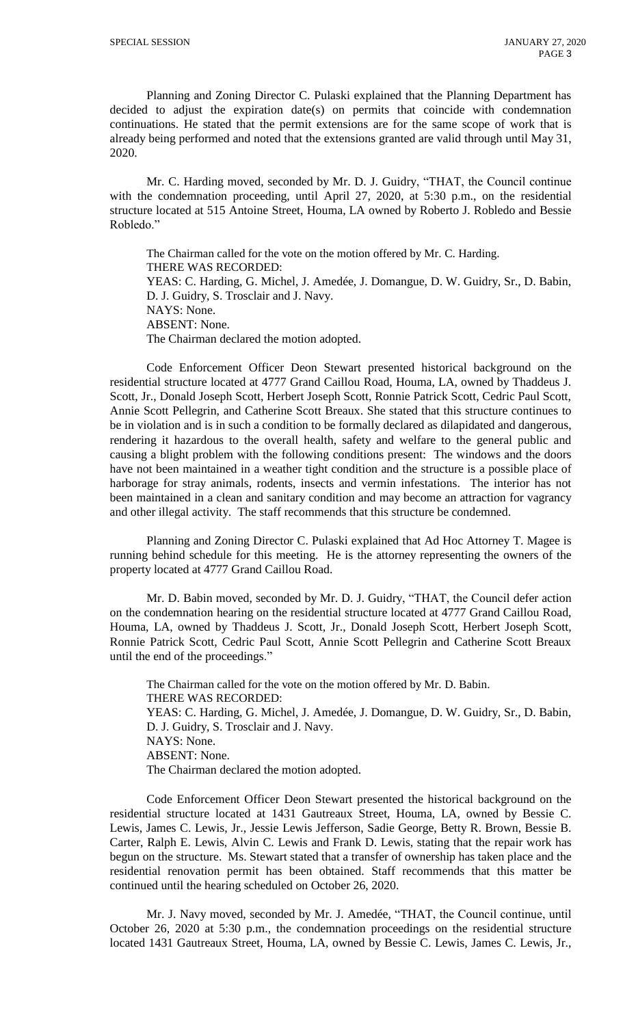Planning and Zoning Director C. Pulaski explained that the Planning Department has decided to adjust the expiration date(s) on permits that coincide with condemnation continuations. He stated that the permit extensions are for the same scope of work that is already being performed and noted that the extensions granted are valid through until May 31, 2020.

Mr. C. Harding moved, seconded by Mr. D. J. Guidry, "THAT, the Council continue with the condemnation proceeding, until April 27, 2020, at 5:30 p.m., on the residential structure located at 515 Antoine Street, Houma, LA owned by Roberto J. Robledo and Bessie Robledo."

The Chairman called for the vote on the motion offered by Mr. C. Harding. THERE WAS RECORDED: YEAS: C. Harding, G. Michel, J. Amedée, J. Domangue, D. W. Guidry, Sr., D. Babin, D. J. Guidry, S. Trosclair and J. Navy. NAYS: None. ABSENT: None. The Chairman declared the motion adopted.

Code Enforcement Officer Deon Stewart presented historical background on the residential structure located at 4777 Grand Caillou Road, Houma, LA, owned by Thaddeus J. Scott, Jr., Donald Joseph Scott, Herbert Joseph Scott, Ronnie Patrick Scott, Cedric Paul Scott, Annie Scott Pellegrin, and Catherine Scott Breaux. She stated that this structure continues to be in violation and is in such a condition to be formally declared as dilapidated and dangerous, rendering it hazardous to the overall health, safety and welfare to the general public and causing a blight problem with the following conditions present: The windows and the doors have not been maintained in a weather tight condition and the structure is a possible place of harborage for stray animals, rodents, insects and vermin infestations. The interior has not been maintained in a clean and sanitary condition and may become an attraction for vagrancy and other illegal activity. The staff recommends that this structure be condemned.

Planning and Zoning Director C. Pulaski explained that Ad Hoc Attorney T. Magee is running behind schedule for this meeting. He is the attorney representing the owners of the property located at 4777 Grand Caillou Road.

Mr. D. Babin moved, seconded by Mr. D. J. Guidry, "THAT, the Council defer action on the condemnation hearing on the residential structure located at 4777 Grand Caillou Road, Houma, LA, owned by Thaddeus J. Scott, Jr., Donald Joseph Scott, Herbert Joseph Scott, Ronnie Patrick Scott, Cedric Paul Scott, Annie Scott Pellegrin and Catherine Scott Breaux until the end of the proceedings."

The Chairman called for the vote on the motion offered by Mr. D. Babin. THERE WAS RECORDED: YEAS: C. Harding, G. Michel, J. Amedée, J. Domangue, D. W. Guidry, Sr., D. Babin, D. J. Guidry, S. Trosclair and J. Navy. NAYS: None. ABSENT: None. The Chairman declared the motion adopted.

Code Enforcement Officer Deon Stewart presented the historical background on the residential structure located at 1431 Gautreaux Street, Houma, LA, owned by Bessie C. Lewis, James C. Lewis, Jr., Jessie Lewis Jefferson, Sadie George, Betty R. Brown, Bessie B. Carter, Ralph E. Lewis, Alvin C. Lewis and Frank D. Lewis, stating that the repair work has begun on the structure. Ms. Stewart stated that a transfer of ownership has taken place and the residential renovation permit has been obtained. Staff recommends that this matter be continued until the hearing scheduled on October 26, 2020.

Mr. J. Navy moved, seconded by Mr. J. Amedée, "THAT, the Council continue, until October 26, 2020 at 5:30 p.m., the condemnation proceedings on the residential structure located 1431 Gautreaux Street, Houma, LA, owned by Bessie C. Lewis, James C. Lewis, Jr.,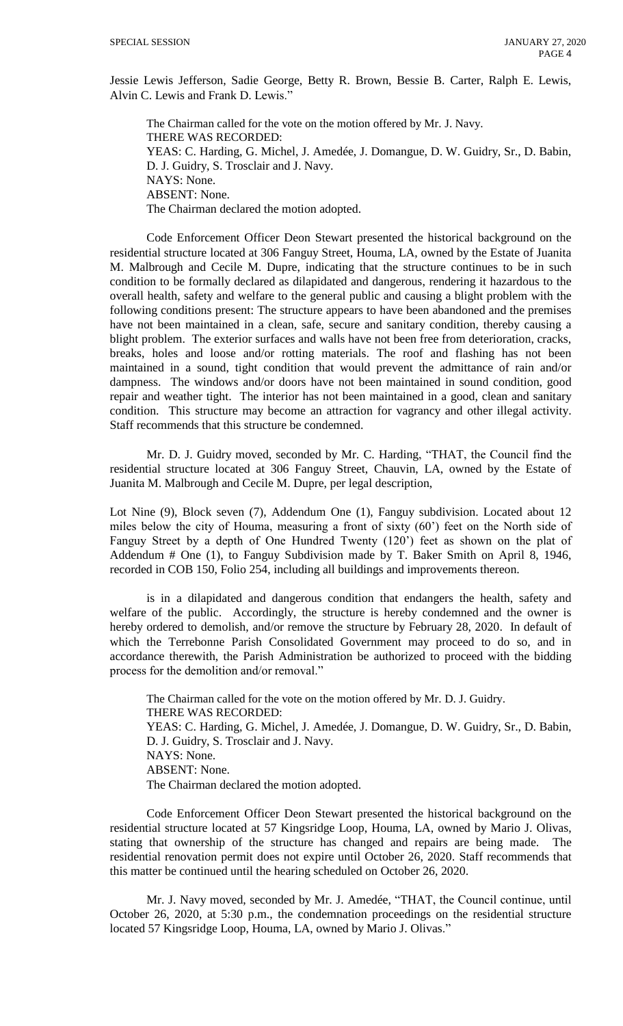Jessie Lewis Jefferson, Sadie George, Betty R. Brown, Bessie B. Carter, Ralph E. Lewis, Alvin C. Lewis and Frank D. Lewis."

The Chairman called for the vote on the motion offered by Mr. J. Navy. THERE WAS RECORDED: YEAS: C. Harding, G. Michel, J. Amedée, J. Domangue, D. W. Guidry, Sr., D. Babin, D. J. Guidry, S. Trosclair and J. Navy. NAYS: None. ABSENT: None. The Chairman declared the motion adopted.

Code Enforcement Officer Deon Stewart presented the historical background on the residential structure located at 306 Fanguy Street, Houma, LA, owned by the Estate of Juanita M. Malbrough and Cecile M. Dupre, indicating that the structure continues to be in such condition to be formally declared as dilapidated and dangerous, rendering it hazardous to the overall health, safety and welfare to the general public and causing a blight problem with the following conditions present: The structure appears to have been abandoned and the premises have not been maintained in a clean, safe, secure and sanitary condition, thereby causing a blight problem. The exterior surfaces and walls have not been free from deterioration, cracks, breaks, holes and loose and/or rotting materials. The roof and flashing has not been maintained in a sound, tight condition that would prevent the admittance of rain and/or dampness. The windows and/or doors have not been maintained in sound condition, good repair and weather tight. The interior has not been maintained in a good, clean and sanitary condition. This structure may become an attraction for vagrancy and other illegal activity. Staff recommends that this structure be condemned.

Mr. D. J. Guidry moved, seconded by Mr. C. Harding, "THAT, the Council find the residential structure located at 306 Fanguy Street, Chauvin, LA, owned by the Estate of Juanita M. Malbrough and Cecile M. Dupre, per legal description,

Lot Nine (9), Block seven (7), Addendum One (1), Fanguy subdivision. Located about 12 miles below the city of Houma, measuring a front of sixty (60') feet on the North side of Fanguy Street by a depth of One Hundred Twenty (120') feet as shown on the plat of Addendum # One (1), to Fanguy Subdivision made by T. Baker Smith on April 8, 1946, recorded in COB 150, Folio 254, including all buildings and improvements thereon.

is in a dilapidated and dangerous condition that endangers the health, safety and welfare of the public. Accordingly, the structure is hereby condemned and the owner is hereby ordered to demolish, and/or remove the structure by February 28, 2020. In default of which the Terrebonne Parish Consolidated Government may proceed to do so, and in accordance therewith, the Parish Administration be authorized to proceed with the bidding process for the demolition and/or removal."

The Chairman called for the vote on the motion offered by Mr. D. J. Guidry. THERE WAS RECORDED: YEAS: C. Harding, G. Michel, J. Amedée, J. Domangue, D. W. Guidry, Sr., D. Babin, D. J. Guidry, S. Trosclair and J. Navy. NAYS: None. ABSENT: None. The Chairman declared the motion adopted.

Code Enforcement Officer Deon Stewart presented the historical background on the residential structure located at 57 Kingsridge Loop, Houma, LA, owned by Mario J. Olivas, stating that ownership of the structure has changed and repairs are being made. The residential renovation permit does not expire until October 26, 2020. Staff recommends that this matter be continued until the hearing scheduled on October 26, 2020.

Mr. J. Navy moved, seconded by Mr. J. Amedée, "THAT, the Council continue, until October 26, 2020, at 5:30 p.m., the condemnation proceedings on the residential structure located 57 Kingsridge Loop, Houma, LA, owned by Mario J. Olivas."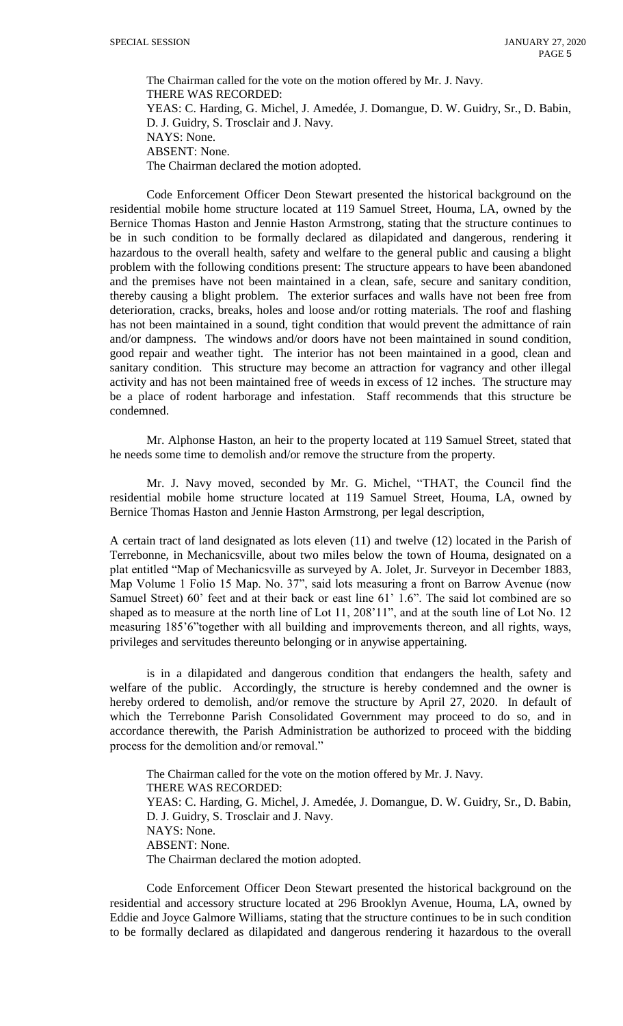The Chairman called for the vote on the motion offered by Mr. J. Navy. THERE WAS RECORDED: YEAS: C. Harding, G. Michel, J. Amedée, J. Domangue, D. W. Guidry, Sr., D. Babin, D. J. Guidry, S. Trosclair and J. Navy. NAYS: None. ABSENT: None. The Chairman declared the motion adopted.

Code Enforcement Officer Deon Stewart presented the historical background on the residential mobile home structure located at 119 Samuel Street, Houma, LA, owned by the Bernice Thomas Haston and Jennie Haston Armstrong, stating that the structure continues to be in such condition to be formally declared as dilapidated and dangerous, rendering it hazardous to the overall health, safety and welfare to the general public and causing a blight problem with the following conditions present: The structure appears to have been abandoned and the premises have not been maintained in a clean, safe, secure and sanitary condition, thereby causing a blight problem. The exterior surfaces and walls have not been free from deterioration, cracks, breaks, holes and loose and/or rotting materials. The roof and flashing has not been maintained in a sound, tight condition that would prevent the admittance of rain and/or dampness. The windows and/or doors have not been maintained in sound condition, good repair and weather tight. The interior has not been maintained in a good, clean and sanitary condition. This structure may become an attraction for vagrancy and other illegal activity and has not been maintained free of weeds in excess of 12 inches. The structure may be a place of rodent harborage and infestation. Staff recommends that this structure be condemned.

Mr. Alphonse Haston, an heir to the property located at 119 Samuel Street, stated that he needs some time to demolish and/or remove the structure from the property.

Mr. J. Navy moved, seconded by Mr. G. Michel, "THAT, the Council find the residential mobile home structure located at 119 Samuel Street, Houma, LA, owned by Bernice Thomas Haston and Jennie Haston Armstrong, per legal description,

A certain tract of land designated as lots eleven (11) and twelve (12) located in the Parish of Terrebonne, in Mechanicsville, about two miles below the town of Houma, designated on a plat entitled "Map of Mechanicsville as surveyed by A. Jolet, Jr. Surveyor in December 1883, Map Volume 1 Folio 15 Map. No. 37", said lots measuring a front on Barrow Avenue (now Samuel Street) 60' feet and at their back or east line 61' 1.6". The said lot combined are so shaped as to measure at the north line of Lot 11, 208'11", and at the south line of Lot No. 12 measuring 185'6"together with all building and improvements thereon, and all rights, ways, privileges and servitudes thereunto belonging or in anywise appertaining.

is in a dilapidated and dangerous condition that endangers the health, safety and welfare of the public. Accordingly, the structure is hereby condemned and the owner is hereby ordered to demolish, and/or remove the structure by April 27, 2020. In default of which the Terrebonne Parish Consolidated Government may proceed to do so, and in accordance therewith, the Parish Administration be authorized to proceed with the bidding process for the demolition and/or removal."

The Chairman called for the vote on the motion offered by Mr. J. Navy. THERE WAS RECORDED: YEAS: C. Harding, G. Michel, J. Amedée, J. Domangue, D. W. Guidry, Sr., D. Babin, D. J. Guidry, S. Trosclair and J. Navy. NAYS: None. ABSENT: None. The Chairman declared the motion adopted.

Code Enforcement Officer Deon Stewart presented the historical background on the residential and accessory structure located at 296 Brooklyn Avenue, Houma, LA, owned by Eddie and Joyce Galmore Williams, stating that the structure continues to be in such condition to be formally declared as dilapidated and dangerous rendering it hazardous to the overall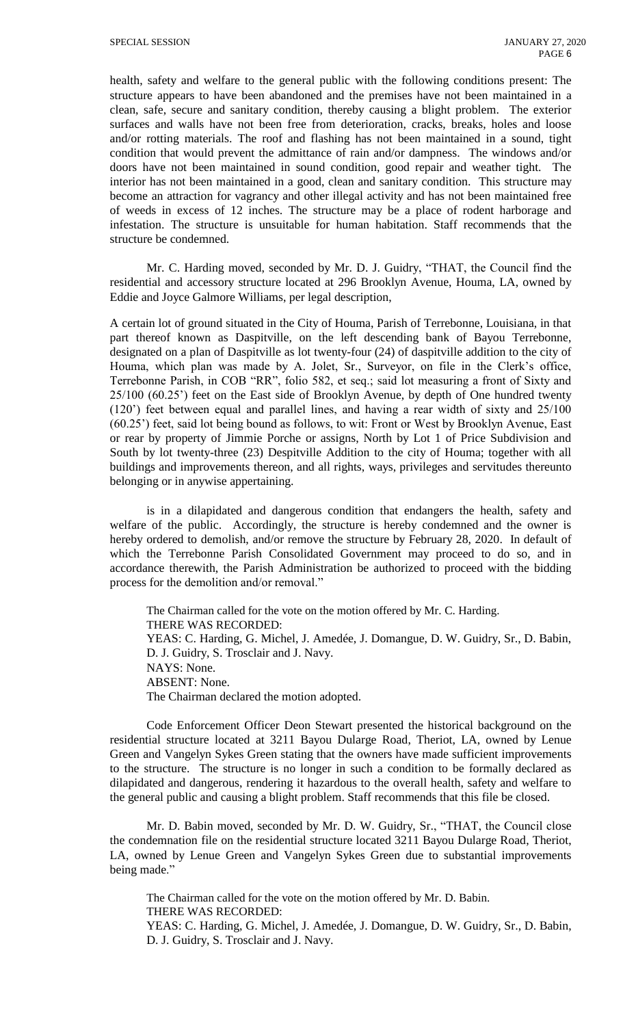health, safety and welfare to the general public with the following conditions present: The structure appears to have been abandoned and the premises have not been maintained in a clean, safe, secure and sanitary condition, thereby causing a blight problem. The exterior surfaces and walls have not been free from deterioration, cracks, breaks, holes and loose and/or rotting materials. The roof and flashing has not been maintained in a sound, tight condition that would prevent the admittance of rain and/or dampness. The windows and/or doors have not been maintained in sound condition, good repair and weather tight. The interior has not been maintained in a good, clean and sanitary condition. This structure may become an attraction for vagrancy and other illegal activity and has not been maintained free of weeds in excess of 12 inches. The structure may be a place of rodent harborage and infestation. The structure is unsuitable for human habitation. Staff recommends that the structure be condemned.

Mr. C. Harding moved, seconded by Mr. D. J. Guidry, "THAT, the Council find the residential and accessory structure located at 296 Brooklyn Avenue, Houma, LA, owned by Eddie and Joyce Galmore Williams, per legal description,

A certain lot of ground situated in the City of Houma, Parish of Terrebonne, Louisiana, in that part thereof known as Daspitville, on the left descending bank of Bayou Terrebonne, designated on a plan of Daspitville as lot twenty-four (24) of daspitville addition to the city of Houma, which plan was made by A. Jolet, Sr., Surveyor, on file in the Clerk's office, Terrebonne Parish, in COB "RR", folio 582, et seq.; said lot measuring a front of Sixty and 25/100 (60.25') feet on the East side of Brooklyn Avenue, by depth of One hundred twenty (120') feet between equal and parallel lines, and having a rear width of sixty and 25/100 (60.25') feet, said lot being bound as follows, to wit: Front or West by Brooklyn Avenue, East or rear by property of Jimmie Porche or assigns, North by Lot 1 of Price Subdivision and South by lot twenty-three (23) Despitville Addition to the city of Houma; together with all buildings and improvements thereon, and all rights, ways, privileges and servitudes thereunto belonging or in anywise appertaining.

is in a dilapidated and dangerous condition that endangers the health, safety and welfare of the public. Accordingly, the structure is hereby condemned and the owner is hereby ordered to demolish, and/or remove the structure by February 28, 2020. In default of which the Terrebonne Parish Consolidated Government may proceed to do so, and in accordance therewith, the Parish Administration be authorized to proceed with the bidding process for the demolition and/or removal."

The Chairman called for the vote on the motion offered by Mr. C. Harding. THERE WAS RECORDED: YEAS: C. Harding, G. Michel, J. Amedée, J. Domangue, D. W. Guidry, Sr., D. Babin, D. J. Guidry, S. Trosclair and J. Navy. NAYS: None. ABSENT: None. The Chairman declared the motion adopted.

Code Enforcement Officer Deon Stewart presented the historical background on the residential structure located at 3211 Bayou Dularge Road, Theriot, LA, owned by Lenue Green and Vangelyn Sykes Green stating that the owners have made sufficient improvements to the structure. The structure is no longer in such a condition to be formally declared as dilapidated and dangerous, rendering it hazardous to the overall health, safety and welfare to the general public and causing a blight problem. Staff recommends that this file be closed.

Mr. D. Babin moved, seconded by Mr. D. W. Guidry, Sr., "THAT, the Council close the condemnation file on the residential structure located 3211 Bayou Dularge Road, Theriot, LA, owned by Lenue Green and Vangelyn Sykes Green due to substantial improvements being made."

The Chairman called for the vote on the motion offered by Mr. D. Babin. THERE WAS RECORDED: YEAS: C. Harding, G. Michel, J. Amedée, J. Domangue, D. W. Guidry, Sr., D. Babin, D. J. Guidry, S. Trosclair and J. Navy.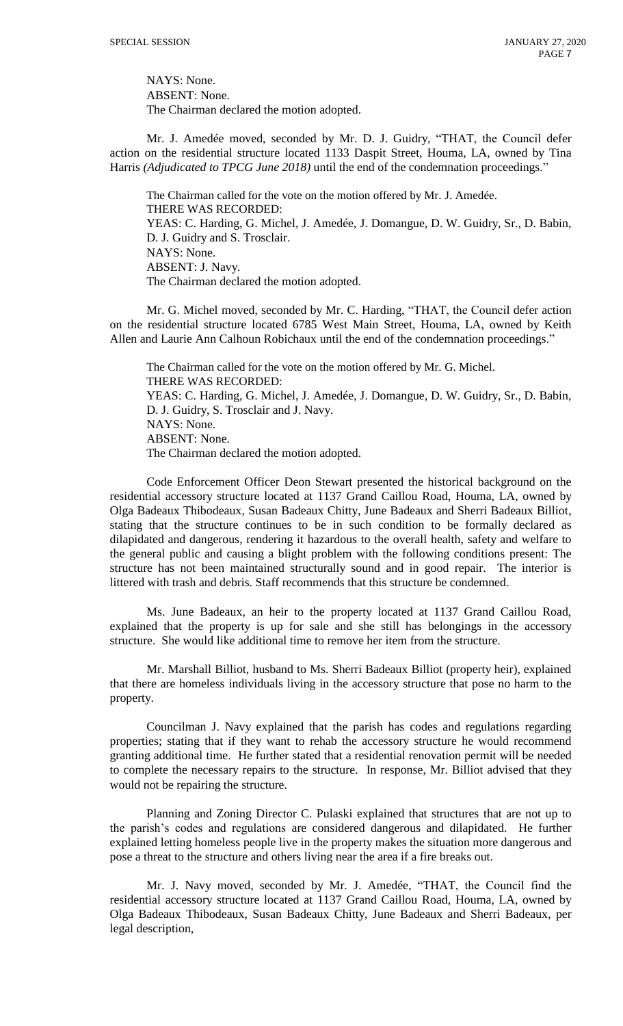NAYS: None. ABSENT: None. The Chairman declared the motion adopted.

Mr. J. Amedée moved, seconded by Mr. D. J. Guidry, "THAT, the Council defer action on the residential structure located 1133 Daspit Street, Houma, LA, owned by Tina Harris *(Adjudicated to TPCG June 2018)* until the end of the condemnation proceedings."

The Chairman called for the vote on the motion offered by Mr. J. Amedée. THERE WAS RECORDED: YEAS: C. Harding, G. Michel, J. Amedée, J. Domangue, D. W. Guidry, Sr., D. Babin, D. J. Guidry and S. Trosclair. NAYS: None. ABSENT: J. Navy. The Chairman declared the motion adopted.

Mr. G. Michel moved, seconded by Mr. C. Harding, "THAT, the Council defer action on the residential structure located 6785 West Main Street, Houma, LA, owned by Keith Allen and Laurie Ann Calhoun Robichaux until the end of the condemnation proceedings."

The Chairman called for the vote on the motion offered by Mr. G. Michel. THERE WAS RECORDED: YEAS: C. Harding, G. Michel, J. Amedée, J. Domangue, D. W. Guidry, Sr., D. Babin, D. J. Guidry, S. Trosclair and J. Navy. NAYS: None. ABSENT: None. The Chairman declared the motion adopted.

Code Enforcement Officer Deon Stewart presented the historical background on the residential accessory structure located at 1137 Grand Caillou Road, Houma, LA, owned by Olga Badeaux Thibodeaux, Susan Badeaux Chitty, June Badeaux and Sherri Badeaux Billiot, stating that the structure continues to be in such condition to be formally declared as dilapidated and dangerous, rendering it hazardous to the overall health, safety and welfare to the general public and causing a blight problem with the following conditions present: The structure has not been maintained structurally sound and in good repair. The interior is littered with trash and debris. Staff recommends that this structure be condemned.

Ms. June Badeaux, an heir to the property located at 1137 Grand Caillou Road, explained that the property is up for sale and she still has belongings in the accessory structure. She would like additional time to remove her item from the structure.

Mr. Marshall Billiot, husband to Ms. Sherri Badeaux Billiot (property heir), explained that there are homeless individuals living in the accessory structure that pose no harm to the property.

Councilman J. Navy explained that the parish has codes and regulations regarding properties; stating that if they want to rehab the accessory structure he would recommend granting additional time. He further stated that a residential renovation permit will be needed to complete the necessary repairs to the structure. In response, Mr. Billiot advised that they would not be repairing the structure.

Planning and Zoning Director C. Pulaski explained that structures that are not up to the parish's codes and regulations are considered dangerous and dilapidated. He further explained letting homeless people live in the property makes the situation more dangerous and pose a threat to the structure and others living near the area if a fire breaks out.

Mr. J. Navy moved, seconded by Mr. J. Amedée, "THAT, the Council find the residential accessory structure located at 1137 Grand Caillou Road, Houma, LA, owned by Olga Badeaux Thibodeaux, Susan Badeaux Chitty, June Badeaux and Sherri Badeaux, per legal description,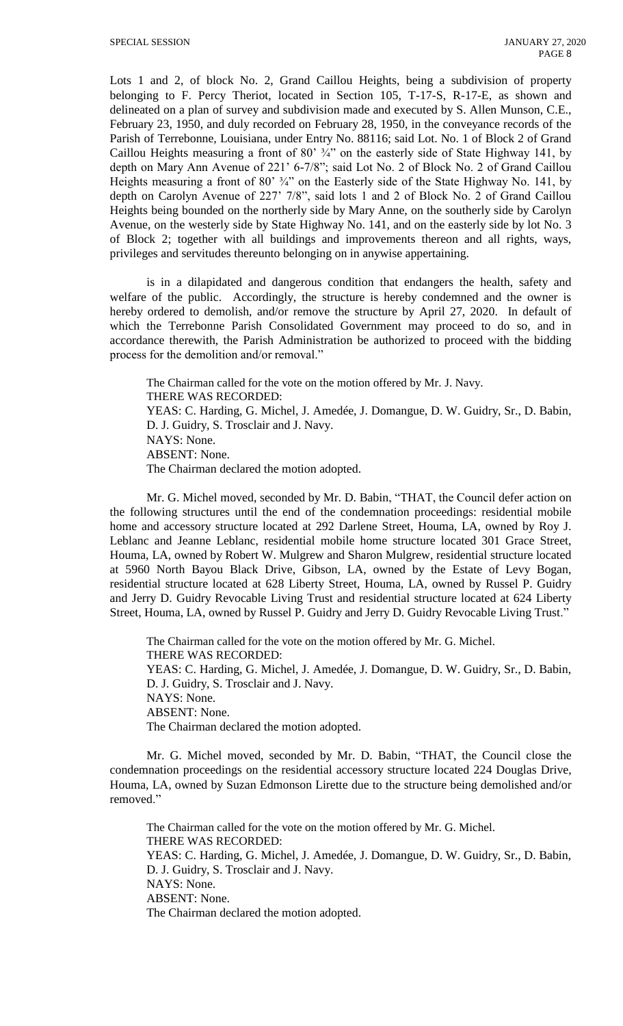Lots 1 and 2, of block No. 2, Grand Caillou Heights, being a subdivision of property belonging to F. Percy Theriot, located in Section 105, T-17-S, R-17-E, as shown and delineated on a plan of survey and subdivision made and executed by S. Allen Munson, C.E., February 23, 1950, and duly recorded on February 28, 1950, in the conveyance records of the Parish of Terrebonne, Louisiana, under Entry No. 88116; said Lot. No. 1 of Block 2 of Grand Caillou Heights measuring a front of 80' ¾" on the easterly side of State Highway 141, by depth on Mary Ann Avenue of 221' 6-7/8"; said Lot No. 2 of Block No. 2 of Grand Caillou Heights measuring a front of 80'  $\frac{3}{4}$ " on the Easterly side of the State Highway No. 141, by depth on Carolyn Avenue of 227' 7/8", said lots 1 and 2 of Block No. 2 of Grand Caillou Heights being bounded on the northerly side by Mary Anne, on the southerly side by Carolyn Avenue, on the westerly side by State Highway No. 141, and on the easterly side by lot No. 3 of Block 2; together with all buildings and improvements thereon and all rights, ways, privileges and servitudes thereunto belonging on in anywise appertaining.

is in a dilapidated and dangerous condition that endangers the health, safety and welfare of the public. Accordingly, the structure is hereby condemned and the owner is hereby ordered to demolish, and/or remove the structure by April 27, 2020. In default of which the Terrebonne Parish Consolidated Government may proceed to do so, and in accordance therewith, the Parish Administration be authorized to proceed with the bidding process for the demolition and/or removal."

The Chairman called for the vote on the motion offered by Mr. J. Navy. THERE WAS RECORDED: YEAS: C. Harding, G. Michel, J. Amedée, J. Domangue, D. W. Guidry, Sr., D. Babin, D. J. Guidry, S. Trosclair and J. Navy. NAYS: None. ABSENT: None. The Chairman declared the motion adopted.

Mr. G. Michel moved, seconded by Mr. D. Babin, "THAT, the Council defer action on the following structures until the end of the condemnation proceedings: residential mobile home and accessory structure located at 292 Darlene Street, Houma, LA, owned by Roy J. Leblanc and Jeanne Leblanc, residential mobile home structure located 301 Grace Street, Houma, LA, owned by Robert W. Mulgrew and Sharon Mulgrew, residential structure located at 5960 North Bayou Black Drive, Gibson, LA, owned by the Estate of Levy Bogan, residential structure located at 628 Liberty Street, Houma, LA, owned by Russel P. Guidry and Jerry D. Guidry Revocable Living Trust and residential structure located at 624 Liberty Street, Houma, LA, owned by Russel P. Guidry and Jerry D. Guidry Revocable Living Trust."

The Chairman called for the vote on the motion offered by Mr. G. Michel. THERE WAS RECORDED: YEAS: C. Harding, G. Michel, J. Amedée, J. Domangue, D. W. Guidry, Sr., D. Babin, D. J. Guidry, S. Trosclair and J. Navy. NAYS: None. ABSENT: None. The Chairman declared the motion adopted.

Mr. G. Michel moved, seconded by Mr. D. Babin, "THAT, the Council close the condemnation proceedings on the residential accessory structure located 224 Douglas Drive, Houma, LA, owned by Suzan Edmonson Lirette due to the structure being demolished and/or removed."

The Chairman called for the vote on the motion offered by Mr. G. Michel. THERE WAS RECORDED: YEAS: C. Harding, G. Michel, J. Amedée, J. Domangue, D. W. Guidry, Sr., D. Babin, D. J. Guidry, S. Trosclair and J. Navy. NAYS: None. ABSENT: None. The Chairman declared the motion adopted.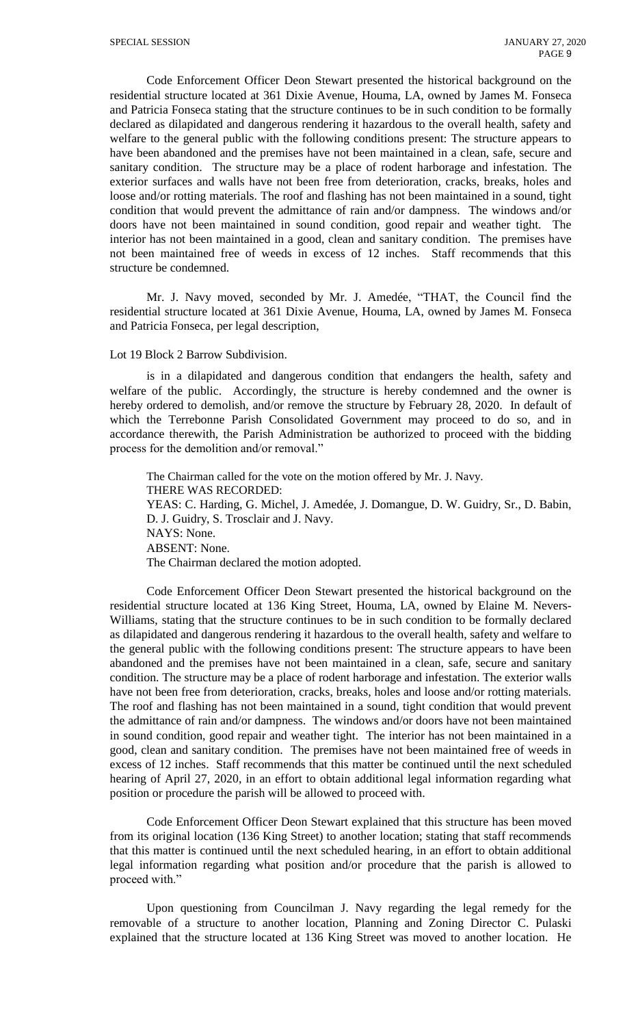Code Enforcement Officer Deon Stewart presented the historical background on the residential structure located at 361 Dixie Avenue, Houma, LA, owned by James M. Fonseca and Patricia Fonseca stating that the structure continues to be in such condition to be formally declared as dilapidated and dangerous rendering it hazardous to the overall health, safety and welfare to the general public with the following conditions present: The structure appears to have been abandoned and the premises have not been maintained in a clean, safe, secure and sanitary condition. The structure may be a place of rodent harborage and infestation. The exterior surfaces and walls have not been free from deterioration, cracks, breaks, holes and loose and/or rotting materials. The roof and flashing has not been maintained in a sound, tight condition that would prevent the admittance of rain and/or dampness. The windows and/or doors have not been maintained in sound condition, good repair and weather tight. The interior has not been maintained in a good, clean and sanitary condition. The premises have not been maintained free of weeds in excess of 12 inches. Staff recommends that this structure be condemned.

Mr. J. Navy moved, seconded by Mr. J. Amedée, "THAT, the Council find the residential structure located at 361 Dixie Avenue, Houma, LA, owned by James M. Fonseca and Patricia Fonseca, per legal description,

#### Lot 19 Block 2 Barrow Subdivision.

is in a dilapidated and dangerous condition that endangers the health, safety and welfare of the public. Accordingly, the structure is hereby condemned and the owner is hereby ordered to demolish, and/or remove the structure by February 28, 2020. In default of which the Terrebonne Parish Consolidated Government may proceed to do so, and in accordance therewith, the Parish Administration be authorized to proceed with the bidding process for the demolition and/or removal."

The Chairman called for the vote on the motion offered by Mr. J. Navy. THERE WAS RECORDED: YEAS: C. Harding, G. Michel, J. Amedée, J. Domangue, D. W. Guidry, Sr., D. Babin, D. J. Guidry, S. Trosclair and J. Navy. NAYS: None. ABSENT: None. The Chairman declared the motion adopted.

Code Enforcement Officer Deon Stewart presented the historical background on the residential structure located at 136 King Street, Houma, LA, owned by Elaine M. Nevers-Williams, stating that the structure continues to be in such condition to be formally declared as dilapidated and dangerous rendering it hazardous to the overall health, safety and welfare to the general public with the following conditions present: The structure appears to have been abandoned and the premises have not been maintained in a clean, safe, secure and sanitary condition. The structure may be a place of rodent harborage and infestation. The exterior walls have not been free from deterioration, cracks, breaks, holes and loose and/or rotting materials. The roof and flashing has not been maintained in a sound, tight condition that would prevent the admittance of rain and/or dampness. The windows and/or doors have not been maintained in sound condition, good repair and weather tight. The interior has not been maintained in a good, clean and sanitary condition. The premises have not been maintained free of weeds in excess of 12 inches. Staff recommends that this matter be continued until the next scheduled hearing of April 27, 2020, in an effort to obtain additional legal information regarding what position or procedure the parish will be allowed to proceed with.

Code Enforcement Officer Deon Stewart explained that this structure has been moved from its original location (136 King Street) to another location; stating that staff recommends that this matter is continued until the next scheduled hearing, in an effort to obtain additional legal information regarding what position and/or procedure that the parish is allowed to proceed with."

Upon questioning from Councilman J. Navy regarding the legal remedy for the removable of a structure to another location, Planning and Zoning Director C. Pulaski explained that the structure located at 136 King Street was moved to another location. He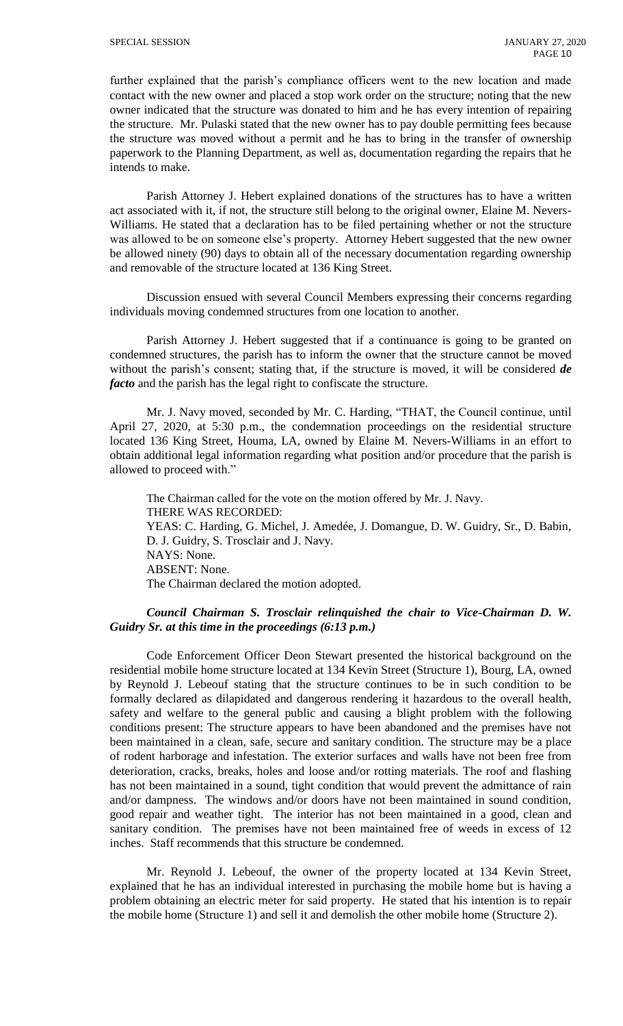further explained that the parish's compliance officers went to the new location and made contact with the new owner and placed a stop work order on the structure; noting that the new owner indicated that the structure was donated to him and he has every intention of repairing the structure. Mr. Pulaski stated that the new owner has to pay double permitting fees because the structure was moved without a permit and he has to bring in the transfer of ownership paperwork to the Planning Department, as well as, documentation regarding the repairs that he intends to make.

Parish Attorney J. Hebert explained donations of the structures has to have a written act associated with it, if not, the structure still belong to the original owner, Elaine M. Nevers-Williams. He stated that a declaration has to be filed pertaining whether or not the structure was allowed to be on someone else's property. Attorney Hebert suggested that the new owner be allowed ninety (90) days to obtain all of the necessary documentation regarding ownership and removable of the structure located at 136 King Street.

Discussion ensued with several Council Members expressing their concerns regarding individuals moving condemned structures from one location to another.

Parish Attorney J. Hebert suggested that if a continuance is going to be granted on condemned structures, the parish has to inform the owner that the structure cannot be moved without the parish's consent; stating that, if the structure is moved, it will be considered *de facto* and the parish has the legal right to confiscate the structure.

Mr. J. Navy moved, seconded by Mr. C. Harding, "THAT, the Council continue, until April 27, 2020, at 5:30 p.m., the condemnation proceedings on the residential structure located 136 King Street, Houma, LA, owned by Elaine M. Nevers-Williams in an effort to obtain additional legal information regarding what position and/or procedure that the parish is allowed to proceed with."

The Chairman called for the vote on the motion offered by Mr. J. Navy. THERE WAS RECORDED: YEAS: C. Harding, G. Michel, J. Amedée, J. Domangue, D. W. Guidry, Sr., D. Babin, D. J. Guidry, S. Trosclair and J. Navy. NAYS: None. ABSENT: None. The Chairman declared the motion adopted.

#### *Council Chairman S. Trosclair relinquished the chair to Vice-Chairman D. W. Guidry Sr. at this time in the proceedings (6:13 p.m.)*

Code Enforcement Officer Deon Stewart presented the historical background on the residential mobile home structure located at 134 Kevin Street (Structure 1), Bourg, LA, owned by Reynold J. Lebeouf stating that the structure continues to be in such condition to be formally declared as dilapidated and dangerous rendering it hazardous to the overall health, safety and welfare to the general public and causing a blight problem with the following conditions present: The structure appears to have been abandoned and the premises have not been maintained in a clean, safe, secure and sanitary condition. The structure may be a place of rodent harborage and infestation. The exterior surfaces and walls have not been free from deterioration, cracks, breaks, holes and loose and/or rotting materials. The roof and flashing has not been maintained in a sound, tight condition that would prevent the admittance of rain and/or dampness. The windows and/or doors have not been maintained in sound condition, good repair and weather tight. The interior has not been maintained in a good, clean and sanitary condition. The premises have not been maintained free of weeds in excess of 12 inches. Staff recommends that this structure be condemned.

Mr. Reynold J. Lebeouf, the owner of the property located at 134 Kevin Street, explained that he has an individual interested in purchasing the mobile home but is having a problem obtaining an electric meter for said property. He stated that his intention is to repair the mobile home (Structure 1) and sell it and demolish the other mobile home (Structure 2).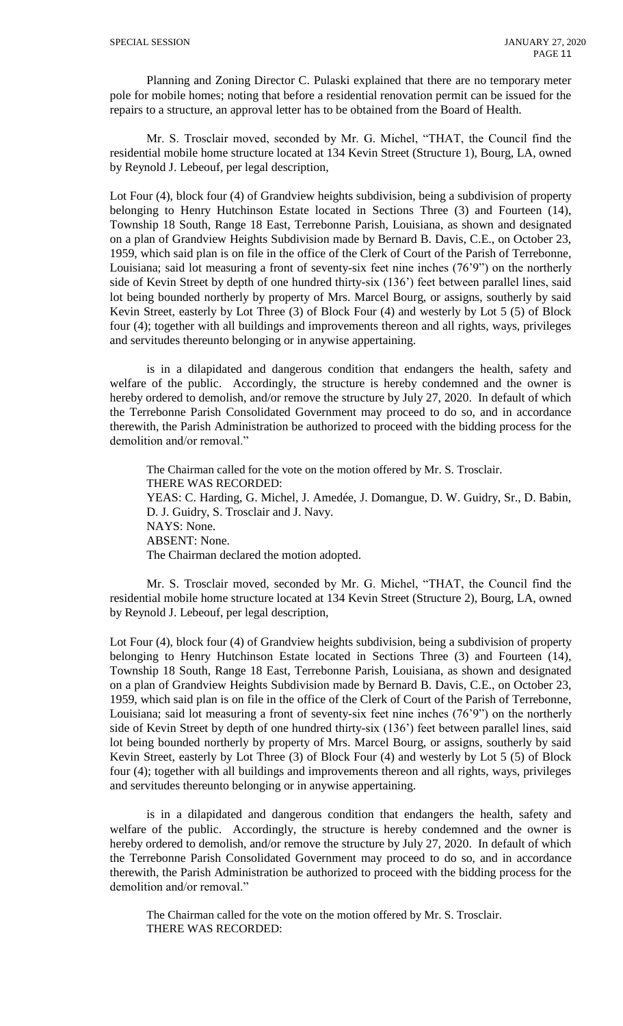Planning and Zoning Director C. Pulaski explained that there are no temporary meter pole for mobile homes; noting that before a residential renovation permit can be issued for the repairs to a structure, an approval letter has to be obtained from the Board of Health.

Mr. S. Trosclair moved, seconded by Mr. G. Michel, "THAT, the Council find the residential mobile home structure located at 134 Kevin Street (Structure 1), Bourg, LA, owned by Reynold J. Lebeouf, per legal description,

Lot Four (4), block four (4) of Grandview heights subdivision, being a subdivision of property belonging to Henry Hutchinson Estate located in Sections Three (3) and Fourteen (14), Township 18 South, Range 18 East, Terrebonne Parish, Louisiana, as shown and designated on a plan of Grandview Heights Subdivision made by Bernard B. Davis, C.E., on October 23, 1959, which said plan is on file in the office of the Clerk of Court of the Parish of Terrebonne, Louisiana; said lot measuring a front of seventy-six feet nine inches (76'9") on the northerly side of Kevin Street by depth of one hundred thirty-six (136') feet between parallel lines, said lot being bounded northerly by property of Mrs. Marcel Bourg, or assigns, southerly by said Kevin Street, easterly by Lot Three (3) of Block Four (4) and westerly by Lot 5 (5) of Block four (4); together with all buildings and improvements thereon and all rights, ways, privileges and servitudes thereunto belonging or in anywise appertaining.

is in a dilapidated and dangerous condition that endangers the health, safety and welfare of the public. Accordingly, the structure is hereby condemned and the owner is hereby ordered to demolish, and/or remove the structure by July 27, 2020. In default of which the Terrebonne Parish Consolidated Government may proceed to do so, and in accordance therewith, the Parish Administration be authorized to proceed with the bidding process for the demolition and/or removal."

The Chairman called for the vote on the motion offered by Mr. S. Trosclair. THERE WAS RECORDED: YEAS: C. Harding, G. Michel, J. Amedée, J. Domangue, D. W. Guidry, Sr., D. Babin, D. J. Guidry, S. Trosclair and J. Navy. NAYS: None. ABSENT: None. The Chairman declared the motion adopted.

Mr. S. Trosclair moved, seconded by Mr. G. Michel, "THAT, the Council find the residential mobile home structure located at 134 Kevin Street (Structure 2), Bourg, LA, owned by Reynold J. Lebeouf, per legal description,

Lot Four (4), block four (4) of Grandview heights subdivision, being a subdivision of property belonging to Henry Hutchinson Estate located in Sections Three (3) and Fourteen (14), Township 18 South, Range 18 East, Terrebonne Parish, Louisiana, as shown and designated on a plan of Grandview Heights Subdivision made by Bernard B. Davis, C.E., on October 23, 1959, which said plan is on file in the office of the Clerk of Court of the Parish of Terrebonne, Louisiana; said lot measuring a front of seventy-six feet nine inches (76'9") on the northerly side of Kevin Street by depth of one hundred thirty-six (136') feet between parallel lines, said lot being bounded northerly by property of Mrs. Marcel Bourg, or assigns, southerly by said Kevin Street, easterly by Lot Three (3) of Block Four (4) and westerly by Lot 5 (5) of Block four (4); together with all buildings and improvements thereon and all rights, ways, privileges and servitudes thereunto belonging or in anywise appertaining.

is in a dilapidated and dangerous condition that endangers the health, safety and welfare of the public. Accordingly, the structure is hereby condemned and the owner is hereby ordered to demolish, and/or remove the structure by July 27, 2020. In default of which the Terrebonne Parish Consolidated Government may proceed to do so, and in accordance therewith, the Parish Administration be authorized to proceed with the bidding process for the demolition and/or removal."

The Chairman called for the vote on the motion offered by Mr. S. Trosclair. THERE WAS RECORDED: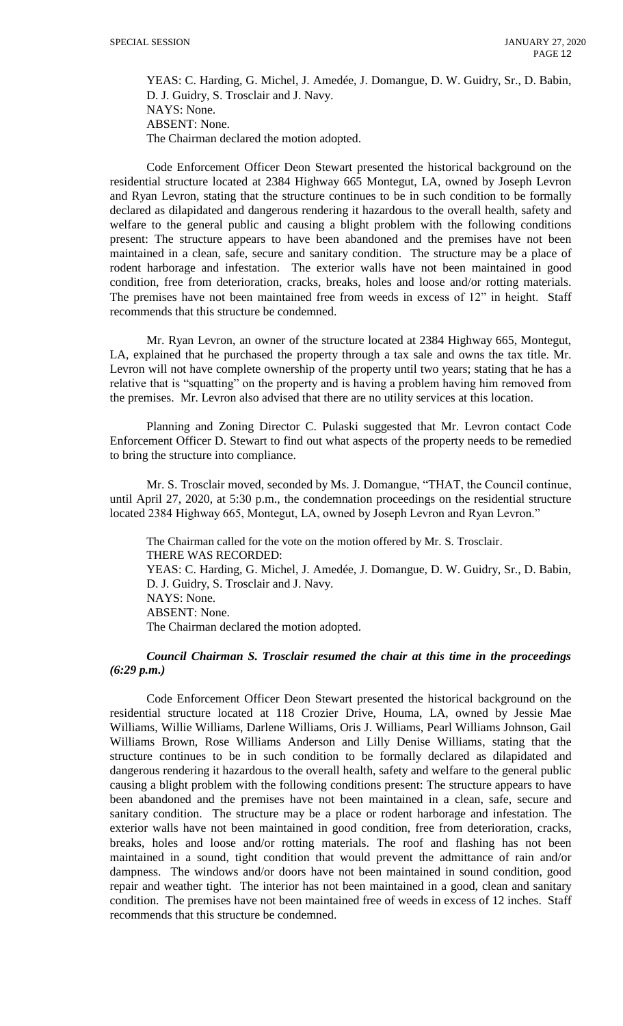YEAS: C. Harding, G. Michel, J. Amedée, J. Domangue, D. W. Guidry, Sr., D. Babin, D. J. Guidry, S. Trosclair and J. Navy. NAYS: None. ABSENT: None. The Chairman declared the motion adopted.

Code Enforcement Officer Deon Stewart presented the historical background on the residential structure located at 2384 Highway 665 Montegut, LA, owned by Joseph Levron and Ryan Levron, stating that the structure continues to be in such condition to be formally declared as dilapidated and dangerous rendering it hazardous to the overall health, safety and welfare to the general public and causing a blight problem with the following conditions present: The structure appears to have been abandoned and the premises have not been maintained in a clean, safe, secure and sanitary condition. The structure may be a place of rodent harborage and infestation. The exterior walls have not been maintained in good condition, free from deterioration, cracks, breaks, holes and loose and/or rotting materials. The premises have not been maintained free from weeds in excess of 12" in height. Staff recommends that this structure be condemned.

Mr. Ryan Levron, an owner of the structure located at 2384 Highway 665, Montegut, LA, explained that he purchased the property through a tax sale and owns the tax title. Mr. Levron will not have complete ownership of the property until two years; stating that he has a relative that is "squatting" on the property and is having a problem having him removed from the premises. Mr. Levron also advised that there are no utility services at this location.

Planning and Zoning Director C. Pulaski suggested that Mr. Levron contact Code Enforcement Officer D. Stewart to find out what aspects of the property needs to be remedied to bring the structure into compliance.

Mr. S. Trosclair moved, seconded by Ms. J. Domangue, "THAT, the Council continue, until April 27, 2020, at 5:30 p.m., the condemnation proceedings on the residential structure located 2384 Highway 665, Montegut, LA, owned by Joseph Levron and Ryan Levron."

The Chairman called for the vote on the motion offered by Mr. S. Trosclair. THERE WAS RECORDED: YEAS: C. Harding, G. Michel, J. Amedée, J. Domangue, D. W. Guidry, Sr., D. Babin, D. J. Guidry, S. Trosclair and J. Navy. NAYS: None. ABSENT: None. The Chairman declared the motion adopted.

*Council Chairman S. Trosclair resumed the chair at this time in the proceedings (6:29 p.m.)*

Code Enforcement Officer Deon Stewart presented the historical background on the residential structure located at 118 Crozier Drive, Houma, LA, owned by Jessie Mae Williams, Willie Williams, Darlene Williams, Oris J. Williams, Pearl Williams Johnson, Gail Williams Brown, Rose Williams Anderson and Lilly Denise Williams, stating that the structure continues to be in such condition to be formally declared as dilapidated and dangerous rendering it hazardous to the overall health, safety and welfare to the general public causing a blight problem with the following conditions present: The structure appears to have been abandoned and the premises have not been maintained in a clean, safe, secure and sanitary condition. The structure may be a place or rodent harborage and infestation. The exterior walls have not been maintained in good condition, free from deterioration, cracks, breaks, holes and loose and/or rotting materials. The roof and flashing has not been maintained in a sound, tight condition that would prevent the admittance of rain and/or dampness. The windows and/or doors have not been maintained in sound condition, good repair and weather tight. The interior has not been maintained in a good, clean and sanitary condition. The premises have not been maintained free of weeds in excess of 12 inches. Staff recommends that this structure be condemned.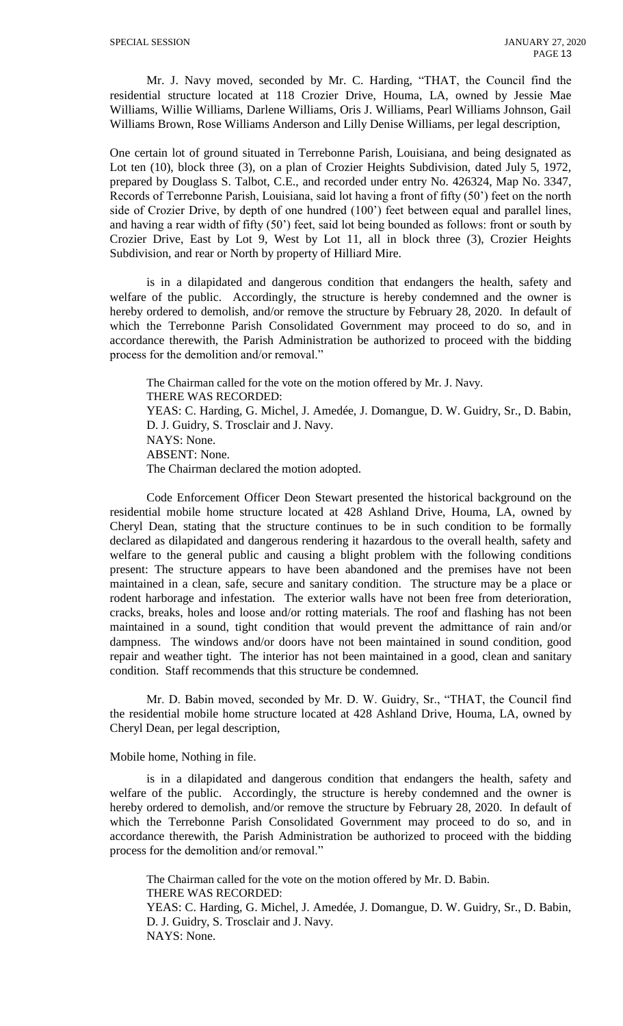Mr. J. Navy moved, seconded by Mr. C. Harding, "THAT, the Council find the residential structure located at 118 Crozier Drive, Houma, LA, owned by Jessie Mae Williams, Willie Williams, Darlene Williams, Oris J. Williams, Pearl Williams Johnson, Gail Williams Brown, Rose Williams Anderson and Lilly Denise Williams, per legal description,

One certain lot of ground situated in Terrebonne Parish, Louisiana, and being designated as Lot ten (10), block three (3), on a plan of Crozier Heights Subdivision, dated July 5, 1972, prepared by Douglass S. Talbot, C.E., and recorded under entry No. 426324, Map No. 3347, Records of Terrebonne Parish, Louisiana, said lot having a front of fifty (50') feet on the north side of Crozier Drive, by depth of one hundred (100') feet between equal and parallel lines, and having a rear width of fifty (50') feet, said lot being bounded as follows: front or south by Crozier Drive, East by Lot 9, West by Lot 11, all in block three (3), Crozier Heights Subdivision, and rear or North by property of Hilliard Mire.

is in a dilapidated and dangerous condition that endangers the health, safety and welfare of the public. Accordingly, the structure is hereby condemned and the owner is hereby ordered to demolish, and/or remove the structure by February 28, 2020. In default of which the Terrebonne Parish Consolidated Government may proceed to do so, and in accordance therewith, the Parish Administration be authorized to proceed with the bidding process for the demolition and/or removal."

The Chairman called for the vote on the motion offered by Mr. J. Navy. THERE WAS RECORDED: YEAS: C. Harding, G. Michel, J. Amedée, J. Domangue, D. W. Guidry, Sr., D. Babin, D. J. Guidry, S. Trosclair and J. Navy. NAYS: None. ABSENT: None. The Chairman declared the motion adopted.

Code Enforcement Officer Deon Stewart presented the historical background on the residential mobile home structure located at 428 Ashland Drive, Houma, LA, owned by Cheryl Dean, stating that the structure continues to be in such condition to be formally declared as dilapidated and dangerous rendering it hazardous to the overall health, safety and welfare to the general public and causing a blight problem with the following conditions present: The structure appears to have been abandoned and the premises have not been maintained in a clean, safe, secure and sanitary condition. The structure may be a place or rodent harborage and infestation. The exterior walls have not been free from deterioration, cracks, breaks, holes and loose and/or rotting materials. The roof and flashing has not been maintained in a sound, tight condition that would prevent the admittance of rain and/or dampness. The windows and/or doors have not been maintained in sound condition, good repair and weather tight. The interior has not been maintained in a good, clean and sanitary condition. Staff recommends that this structure be condemned.

Mr. D. Babin moved, seconded by Mr. D. W. Guidry, Sr., "THAT, the Council find the residential mobile home structure located at 428 Ashland Drive, Houma, LA, owned by Cheryl Dean, per legal description,

# Mobile home, Nothing in file.

is in a dilapidated and dangerous condition that endangers the health, safety and welfare of the public. Accordingly, the structure is hereby condemned and the owner is hereby ordered to demolish, and/or remove the structure by February 28, 2020. In default of which the Terrebonne Parish Consolidated Government may proceed to do so, and in accordance therewith, the Parish Administration be authorized to proceed with the bidding process for the demolition and/or removal."

The Chairman called for the vote on the motion offered by Mr. D. Babin. THERE WAS RECORDED: YEAS: C. Harding, G. Michel, J. Amedée, J. Domangue, D. W. Guidry, Sr., D. Babin, D. J. Guidry, S. Trosclair and J. Navy. NAYS: None.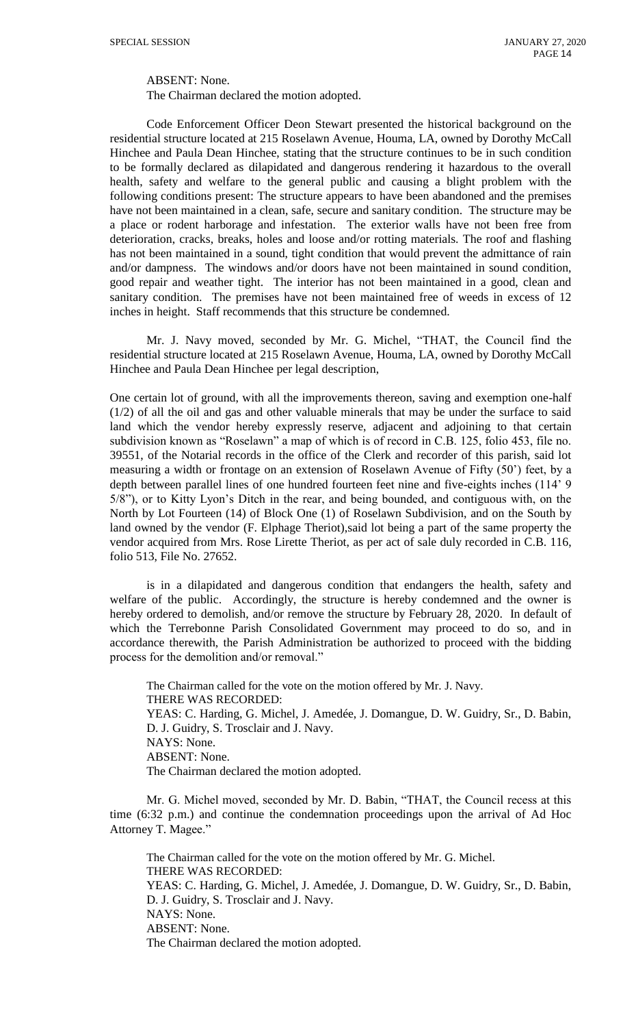ABSENT: None.

The Chairman declared the motion adopted.

Code Enforcement Officer Deon Stewart presented the historical background on the residential structure located at 215 Roselawn Avenue, Houma, LA, owned by Dorothy McCall Hinchee and Paula Dean Hinchee, stating that the structure continues to be in such condition to be formally declared as dilapidated and dangerous rendering it hazardous to the overall health, safety and welfare to the general public and causing a blight problem with the following conditions present: The structure appears to have been abandoned and the premises have not been maintained in a clean, safe, secure and sanitary condition. The structure may be a place or rodent harborage and infestation. The exterior walls have not been free from deterioration, cracks, breaks, holes and loose and/or rotting materials. The roof and flashing has not been maintained in a sound, tight condition that would prevent the admittance of rain and/or dampness. The windows and/or doors have not been maintained in sound condition, good repair and weather tight. The interior has not been maintained in a good, clean and sanitary condition. The premises have not been maintained free of weeds in excess of 12 inches in height. Staff recommends that this structure be condemned.

Mr. J. Navy moved, seconded by Mr. G. Michel, "THAT, the Council find the residential structure located at 215 Roselawn Avenue, Houma, LA, owned by Dorothy McCall Hinchee and Paula Dean Hinchee per legal description,

One certain lot of ground, with all the improvements thereon, saving and exemption one-half (1/2) of all the oil and gas and other valuable minerals that may be under the surface to said land which the vendor hereby expressly reserve, adjacent and adjoining to that certain subdivision known as "Roselawn" a map of which is of record in C.B. 125, folio 453, file no. 39551, of the Notarial records in the office of the Clerk and recorder of this parish, said lot measuring a width or frontage on an extension of Roselawn Avenue of Fifty (50') feet, by a depth between parallel lines of one hundred fourteen feet nine and five-eights inches (114' 9 5/8"), or to Kitty Lyon's Ditch in the rear, and being bounded, and contiguous with, on the North by Lot Fourteen (14) of Block One (1) of Roselawn Subdivision, and on the South by land owned by the vendor (F. Elphage Theriot),said lot being a part of the same property the vendor acquired from Mrs. Rose Lirette Theriot, as per act of sale duly recorded in C.B. 116, folio 513, File No. 27652.

is in a dilapidated and dangerous condition that endangers the health, safety and welfare of the public. Accordingly, the structure is hereby condemned and the owner is hereby ordered to demolish, and/or remove the structure by February 28, 2020. In default of which the Terrebonne Parish Consolidated Government may proceed to do so, and in accordance therewith, the Parish Administration be authorized to proceed with the bidding process for the demolition and/or removal."

The Chairman called for the vote on the motion offered by Mr. J. Navy. THERE WAS RECORDED: YEAS: C. Harding, G. Michel, J. Amedée, J. Domangue, D. W. Guidry, Sr., D. Babin, D. J. Guidry, S. Trosclair and J. Navy. NAYS: None. ABSENT: None. The Chairman declared the motion adopted.

Mr. G. Michel moved, seconded by Mr. D. Babin, "THAT, the Council recess at this time (6:32 p.m.) and continue the condemnation proceedings upon the arrival of Ad Hoc Attorney T. Magee."

The Chairman called for the vote on the motion offered by Mr. G. Michel. THERE WAS RECORDED: YEAS: C. Harding, G. Michel, J. Amedée, J. Domangue, D. W. Guidry, Sr., D. Babin, D. J. Guidry, S. Trosclair and J. Navy. NAYS: None. ABSENT: None. The Chairman declared the motion adopted.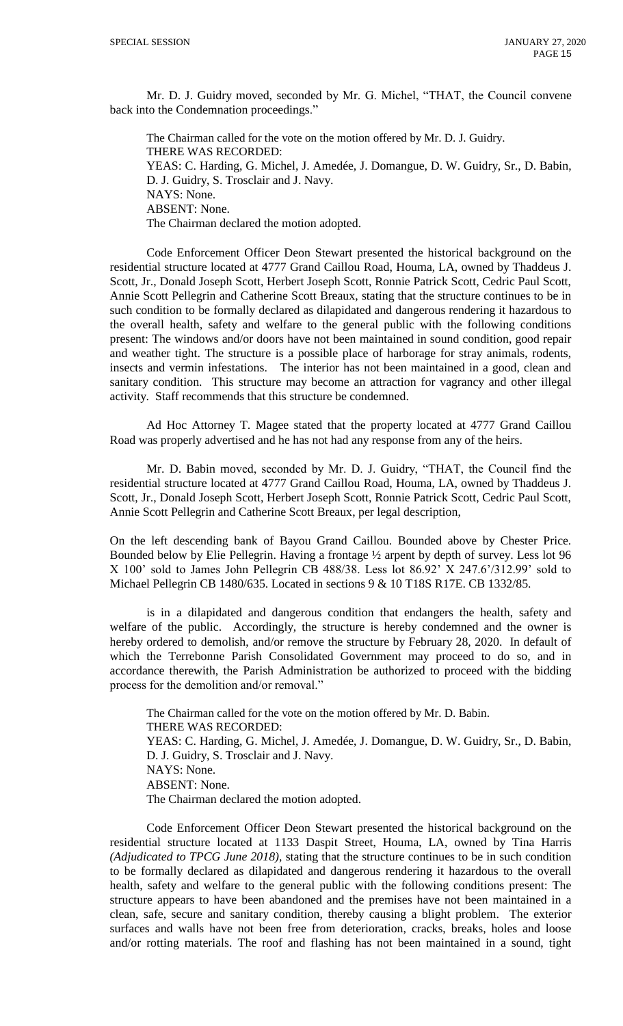Mr. D. J. Guidry moved, seconded by Mr. G. Michel, "THAT, the Council convene back into the Condemnation proceedings."

The Chairman called for the vote on the motion offered by Mr. D. J. Guidry. THERE WAS RECORDED: YEAS: C. Harding, G. Michel, J. Amedée, J. Domangue, D. W. Guidry, Sr., D. Babin, D. J. Guidry, S. Trosclair and J. Navy. NAYS: None. ABSENT: None. The Chairman declared the motion adopted.

Code Enforcement Officer Deon Stewart presented the historical background on the residential structure located at 4777 Grand Caillou Road, Houma, LA, owned by Thaddeus J. Scott, Jr., Donald Joseph Scott, Herbert Joseph Scott, Ronnie Patrick Scott, Cedric Paul Scott, Annie Scott Pellegrin and Catherine Scott Breaux, stating that the structure continues to be in such condition to be formally declared as dilapidated and dangerous rendering it hazardous to the overall health, safety and welfare to the general public with the following conditions present: The windows and/or doors have not been maintained in sound condition, good repair and weather tight. The structure is a possible place of harborage for stray animals, rodents, insects and vermin infestations. The interior has not been maintained in a good, clean and sanitary condition. This structure may become an attraction for vagrancy and other illegal activity. Staff recommends that this structure be condemned.

Ad Hoc Attorney T. Magee stated that the property located at 4777 Grand Caillou Road was properly advertised and he has not had any response from any of the heirs.

Mr. D. Babin moved, seconded by Mr. D. J. Guidry, "THAT, the Council find the residential structure located at 4777 Grand Caillou Road, Houma, LA, owned by Thaddeus J. Scott, Jr., Donald Joseph Scott, Herbert Joseph Scott, Ronnie Patrick Scott, Cedric Paul Scott, Annie Scott Pellegrin and Catherine Scott Breaux, per legal description,

On the left descending bank of Bayou Grand Caillou. Bounded above by Chester Price. Bounded below by Elie Pellegrin. Having a frontage ½ arpent by depth of survey. Less lot 96 X 100' sold to James John Pellegrin CB 488/38. Less lot 86.92' X 247.6'/312.99' sold to Michael Pellegrin CB 1480/635. Located in sections 9 & 10 T18S R17E. CB 1332/85.

is in a dilapidated and dangerous condition that endangers the health, safety and welfare of the public. Accordingly, the structure is hereby condemned and the owner is hereby ordered to demolish, and/or remove the structure by February 28, 2020. In default of which the Terrebonne Parish Consolidated Government may proceed to do so, and in accordance therewith, the Parish Administration be authorized to proceed with the bidding process for the demolition and/or removal."

The Chairman called for the vote on the motion offered by Mr. D. Babin. THERE WAS RECORDED: YEAS: C. Harding, G. Michel, J. Amedée, J. Domangue, D. W. Guidry, Sr., D. Babin, D. J. Guidry, S. Trosclair and J. Navy. NAYS: None. ABSENT: None. The Chairman declared the motion adopted.

Code Enforcement Officer Deon Stewart presented the historical background on the residential structure located at 1133 Daspit Street, Houma, LA, owned by Tina Harris *(Adjudicated to TPCG June 2018),* stating that the structure continues to be in such condition to be formally declared as dilapidated and dangerous rendering it hazardous to the overall health, safety and welfare to the general public with the following conditions present: The structure appears to have been abandoned and the premises have not been maintained in a clean, safe, secure and sanitary condition, thereby causing a blight problem. The exterior surfaces and walls have not been free from deterioration, cracks, breaks, holes and loose and/or rotting materials. The roof and flashing has not been maintained in a sound, tight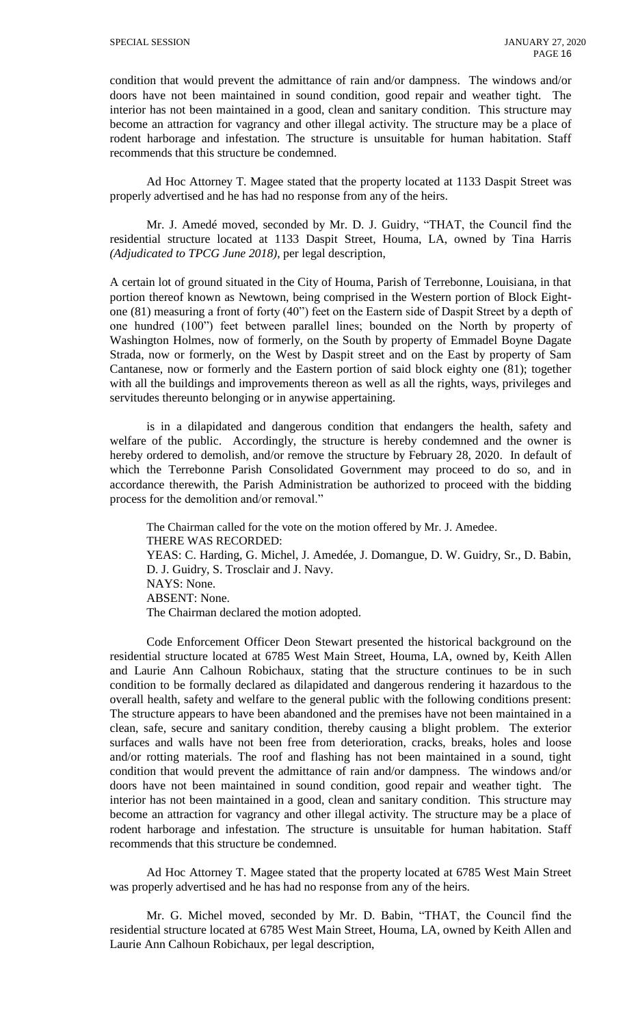condition that would prevent the admittance of rain and/or dampness. The windows and/or doors have not been maintained in sound condition, good repair and weather tight. The interior has not been maintained in a good, clean and sanitary condition. This structure may become an attraction for vagrancy and other illegal activity. The structure may be a place of rodent harborage and infestation. The structure is unsuitable for human habitation. Staff recommends that this structure be condemned.

Ad Hoc Attorney T. Magee stated that the property located at 1133 Daspit Street was properly advertised and he has had no response from any of the heirs.

Mr. J. Amedé moved, seconded by Mr. D. J. Guidry, "THAT, the Council find the residential structure located at 1133 Daspit Street, Houma, LA, owned by Tina Harris *(Adjudicated to TPCG June 2018)*, per legal description,

A certain lot of ground situated in the City of Houma, Parish of Terrebonne, Louisiana, in that portion thereof known as Newtown, being comprised in the Western portion of Block Eightone (81) measuring a front of forty (40") feet on the Eastern side of Daspit Street by a depth of one hundred (100") feet between parallel lines; bounded on the North by property of Washington Holmes, now of formerly, on the South by property of Emmadel Boyne Dagate Strada, now or formerly, on the West by Daspit street and on the East by property of Sam Cantanese, now or formerly and the Eastern portion of said block eighty one (81); together with all the buildings and improvements thereon as well as all the rights, ways, privileges and servitudes thereunto belonging or in anywise appertaining.

is in a dilapidated and dangerous condition that endangers the health, safety and welfare of the public. Accordingly, the structure is hereby condemned and the owner is hereby ordered to demolish, and/or remove the structure by February 28, 2020. In default of which the Terrebonne Parish Consolidated Government may proceed to do so, and in accordance therewith, the Parish Administration be authorized to proceed with the bidding process for the demolition and/or removal."

The Chairman called for the vote on the motion offered by Mr. J. Amedee. THERE WAS RECORDED: YEAS: C. Harding, G. Michel, J. Amedée, J. Domangue, D. W. Guidry, Sr., D. Babin, D. J. Guidry, S. Trosclair and J. Navy. NAYS: None. ABSENT: None. The Chairman declared the motion adopted.

Code Enforcement Officer Deon Stewart presented the historical background on the residential structure located at 6785 West Main Street, Houma, LA, owned by*,* Keith Allen and Laurie Ann Calhoun Robichaux, stating that the structure continues to be in such condition to be formally declared as dilapidated and dangerous rendering it hazardous to the overall health, safety and welfare to the general public with the following conditions present: The structure appears to have been abandoned and the premises have not been maintained in a clean, safe, secure and sanitary condition, thereby causing a blight problem. The exterior surfaces and walls have not been free from deterioration, cracks, breaks, holes and loose and/or rotting materials. The roof and flashing has not been maintained in a sound, tight condition that would prevent the admittance of rain and/or dampness. The windows and/or doors have not been maintained in sound condition, good repair and weather tight. The interior has not been maintained in a good, clean and sanitary condition. This structure may become an attraction for vagrancy and other illegal activity. The structure may be a place of rodent harborage and infestation. The structure is unsuitable for human habitation. Staff recommends that this structure be condemned.

Ad Hoc Attorney T. Magee stated that the property located at 6785 West Main Street was properly advertised and he has had no response from any of the heirs.

Mr. G. Michel moved, seconded by Mr. D. Babin, "THAT, the Council find the residential structure located at 6785 West Main Street, Houma, LA, owned by Keith Allen and Laurie Ann Calhoun Robichaux, per legal description,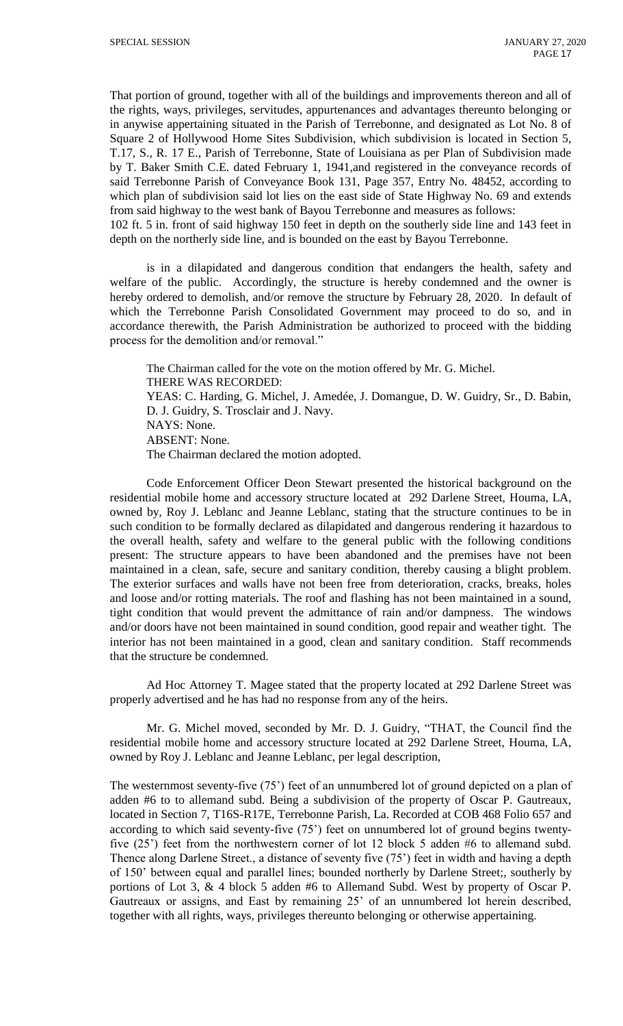That portion of ground, together with all of the buildings and improvements thereon and all of the rights, ways, privileges, servitudes, appurtenances and advantages thereunto belonging or in anywise appertaining situated in the Parish of Terrebonne, and designated as Lot No. 8 of Square 2 of Hollywood Home Sites Subdivision, which subdivision is located in Section 5, T.17, S., R. 17 E., Parish of Terrebonne, State of Louisiana as per Plan of Subdivision made by T. Baker Smith C.E. dated February 1, 1941,and registered in the conveyance records of said Terrebonne Parish of Conveyance Book 131, Page 357, Entry No. 48452, according to which plan of subdivision said lot lies on the east side of State Highway No. 69 and extends from said highway to the west bank of Bayou Terrebonne and measures as follows: 102 ft. 5 in. front of said highway 150 feet in depth on the southerly side line and 143 feet in

depth on the northerly side line, and is bounded on the east by Bayou Terrebonne.

is in a dilapidated and dangerous condition that endangers the health, safety and welfare of the public. Accordingly, the structure is hereby condemned and the owner is hereby ordered to demolish, and/or remove the structure by February 28, 2020. In default of which the Terrebonne Parish Consolidated Government may proceed to do so, and in accordance therewith, the Parish Administration be authorized to proceed with the bidding process for the demolition and/or removal."

The Chairman called for the vote on the motion offered by Mr. G. Michel. THERE WAS RECORDED: YEAS: C. Harding, G. Michel, J. Amedée, J. Domangue, D. W. Guidry, Sr., D. Babin, D. J. Guidry, S. Trosclair and J. Navy. NAYS: None. ABSENT: None. The Chairman declared the motion adopted.

Code Enforcement Officer Deon Stewart presented the historical background on the residential mobile home and accessory structure located at 292 Darlene Street, Houma, LA, owned by*,* Roy J. Leblanc and Jeanne Leblanc, stating that the structure continues to be in such condition to be formally declared as dilapidated and dangerous rendering it hazardous to the overall health, safety and welfare to the general public with the following conditions present: The structure appears to have been abandoned and the premises have not been maintained in a clean, safe, secure and sanitary condition, thereby causing a blight problem. The exterior surfaces and walls have not been free from deterioration, cracks, breaks, holes and loose and/or rotting materials. The roof and flashing has not been maintained in a sound, tight condition that would prevent the admittance of rain and/or dampness. The windows and/or doors have not been maintained in sound condition, good repair and weather tight. The interior has not been maintained in a good, clean and sanitary condition. Staff recommends that the structure be condemned.

Ad Hoc Attorney T. Magee stated that the property located at 292 Darlene Street was properly advertised and he has had no response from any of the heirs.

Mr. G. Michel moved, seconded by Mr. D. J. Guidry, "THAT, the Council find the residential mobile home and accessory structure located at 292 Darlene Street, Houma, LA, owned by Roy J. Leblanc and Jeanne Leblanc, per legal description,

The westernmost seventy-five (75') feet of an unnumbered lot of ground depicted on a plan of adden #6 to to allemand subd. Being a subdivision of the property of Oscar P. Gautreaux, located in Section 7, T16S-R17E, Terrebonne Parish, La. Recorded at COB 468 Folio 657 and according to which said seventy-five (75') feet on unnumbered lot of ground begins twentyfive (25') feet from the northwestern corner of lot 12 block 5 adden #6 to allemand subd. Thence along Darlene Street., a distance of seventy five (75') feet in width and having a depth of 150' between equal and parallel lines; bounded northerly by Darlene Street;, southerly by portions of Lot 3, & 4 block 5 adden #6 to Allemand Subd. West by property of Oscar P. Gautreaux or assigns, and East by remaining 25' of an unnumbered lot herein described, together with all rights, ways, privileges thereunto belonging or otherwise appertaining.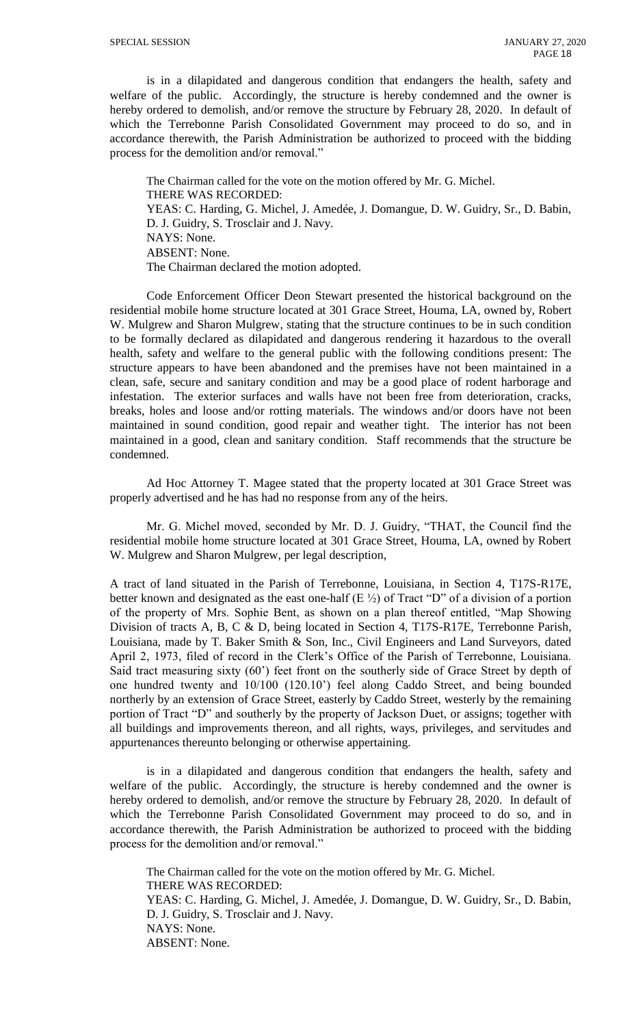is in a dilapidated and dangerous condition that endangers the health, safety and welfare of the public. Accordingly, the structure is hereby condemned and the owner is hereby ordered to demolish, and/or remove the structure by February 28, 2020. In default of which the Terrebonne Parish Consolidated Government may proceed to do so, and in accordance therewith, the Parish Administration be authorized to proceed with the bidding process for the demolition and/or removal."

The Chairman called for the vote on the motion offered by Mr. G. Michel. THERE WAS RECORDED: YEAS: C. Harding, G. Michel, J. Amedée, J. Domangue, D. W. Guidry, Sr., D. Babin, D. J. Guidry, S. Trosclair and J. Navy. NAYS: None. ABSENT: None. The Chairman declared the motion adopted.

Code Enforcement Officer Deon Stewart presented the historical background on the residential mobile home structure located at 301 Grace Street, Houma, LA, owned by*,* Robert W. Mulgrew and Sharon Mulgrew, stating that the structure continues to be in such condition to be formally declared as dilapidated and dangerous rendering it hazardous to the overall health, safety and welfare to the general public with the following conditions present: The structure appears to have been abandoned and the premises have not been maintained in a clean, safe, secure and sanitary condition and may be a good place of rodent harborage and infestation. The exterior surfaces and walls have not been free from deterioration, cracks, breaks, holes and loose and/or rotting materials. The windows and/or doors have not been maintained in sound condition, good repair and weather tight. The interior has not been maintained in a good, clean and sanitary condition. Staff recommends that the structure be condemned.

Ad Hoc Attorney T. Magee stated that the property located at 301 Grace Street was properly advertised and he has had no response from any of the heirs.

Mr. G. Michel moved, seconded by Mr. D. J. Guidry, "THAT, the Council find the residential mobile home structure located at 301 Grace Street, Houma, LA, owned by Robert W. Mulgrew and Sharon Mulgrew, per legal description,

A tract of land situated in the Parish of Terrebonne, Louisiana, in Section 4, T17S-R17E, better known and designated as the east one-half  $(E \frac{1}{2})$  of Tract "D" of a division of a portion of the property of Mrs. Sophie Bent, as shown on a plan thereof entitled, "Map Showing Division of tracts A, B, C & D, being located in Section 4, T17S-R17E, Terrebonne Parish, Louisiana, made by T. Baker Smith & Son, Inc., Civil Engineers and Land Surveyors, dated April 2, 1973, filed of record in the Clerk's Office of the Parish of Terrebonne, Louisiana. Said tract measuring sixty (60') feet front on the southerly side of Grace Street by depth of one hundred twenty and 10/100 (120.10') feel along Caddo Street, and being bounded northerly by an extension of Grace Street, easterly by Caddo Street, westerly by the remaining portion of Tract "D" and southerly by the property of Jackson Duet, or assigns; together with all buildings and improvements thereon, and all rights, ways, privileges, and servitudes and appurtenances thereunto belonging or otherwise appertaining.

is in a dilapidated and dangerous condition that endangers the health, safety and welfare of the public. Accordingly, the structure is hereby condemned and the owner is hereby ordered to demolish, and/or remove the structure by February 28, 2020. In default of which the Terrebonne Parish Consolidated Government may proceed to do so, and in accordance therewith, the Parish Administration be authorized to proceed with the bidding process for the demolition and/or removal."

The Chairman called for the vote on the motion offered by Mr. G. Michel. THERE WAS RECORDED: YEAS: C. Harding, G. Michel, J. Amedée, J. Domangue, D. W. Guidry, Sr., D. Babin, D. J. Guidry, S. Trosclair and J. Navy. NAYS: None. ABSENT: None.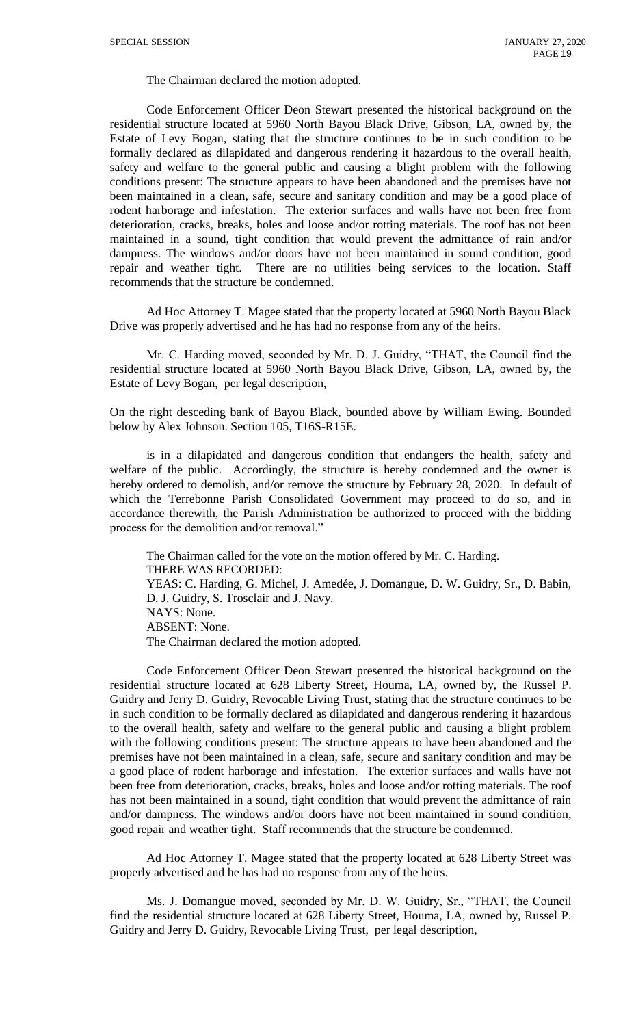The Chairman declared the motion adopted.

Code Enforcement Officer Deon Stewart presented the historical background on the residential structure located at 5960 North Bayou Black Drive, Gibson, LA, owned by*,* the Estate of Levy Bogan, stating that the structure continues to be in such condition to be formally declared as dilapidated and dangerous rendering it hazardous to the overall health, safety and welfare to the general public and causing a blight problem with the following conditions present: The structure appears to have been abandoned and the premises have not been maintained in a clean, safe, secure and sanitary condition and may be a good place of rodent harborage and infestation. The exterior surfaces and walls have not been free from deterioration, cracks, breaks, holes and loose and/or rotting materials. The roof has not been maintained in a sound, tight condition that would prevent the admittance of rain and/or dampness. The windows and/or doors have not been maintained in sound condition, good repair and weather tight. There are no utilities being services to the location. Staff recommends that the structure be condemned.

Ad Hoc Attorney T. Magee stated that the property located at 5960 North Bayou Black Drive was properly advertised and he has had no response from any of the heirs.

Mr. C. Harding moved, seconded by Mr. D. J. Guidry, "THAT, the Council find the residential structure located at 5960 North Bayou Black Drive, Gibson, LA, owned by, the Estate of Levy Bogan, per legal description,

On the right desceding bank of Bayou Black, bounded above by William Ewing. Bounded below by Alex Johnson. Section 105, T16S-R15E.

is in a dilapidated and dangerous condition that endangers the health, safety and welfare of the public. Accordingly, the structure is hereby condemned and the owner is hereby ordered to demolish, and/or remove the structure by February 28, 2020. In default of which the Terrebonne Parish Consolidated Government may proceed to do so, and in accordance therewith, the Parish Administration be authorized to proceed with the bidding process for the demolition and/or removal."

The Chairman called for the vote on the motion offered by Mr. C. Harding. THERE WAS RECORDED: YEAS: C. Harding, G. Michel, J. Amedée, J. Domangue, D. W. Guidry, Sr., D. Babin, D. J. Guidry, S. Trosclair and J. Navy. NAYS: None. ABSENT: None. The Chairman declared the motion adopted.

Code Enforcement Officer Deon Stewart presented the historical background on the residential structure located at 628 Liberty Street, Houma, LA, owned by*,* the Russel P. Guidry and Jerry D. Guidry, Revocable Living Trust, stating that the structure continues to be in such condition to be formally declared as dilapidated and dangerous rendering it hazardous to the overall health, safety and welfare to the general public and causing a blight problem with the following conditions present: The structure appears to have been abandoned and the premises have not been maintained in a clean, safe, secure and sanitary condition and may be a good place of rodent harborage and infestation. The exterior surfaces and walls have not been free from deterioration, cracks, breaks, holes and loose and/or rotting materials. The roof has not been maintained in a sound, tight condition that would prevent the admittance of rain and/or dampness. The windows and/or doors have not been maintained in sound condition, good repair and weather tight. Staff recommends that the structure be condemned.

Ad Hoc Attorney T. Magee stated that the property located at 628 Liberty Street was properly advertised and he has had no response from any of the heirs.

Ms. J. Domangue moved, seconded by Mr. D. W. Guidry, Sr., "THAT, the Council find the residential structure located at 628 Liberty Street, Houma, LA, owned by, Russel P. Guidry and Jerry D. Guidry, Revocable Living Trust, per legal description,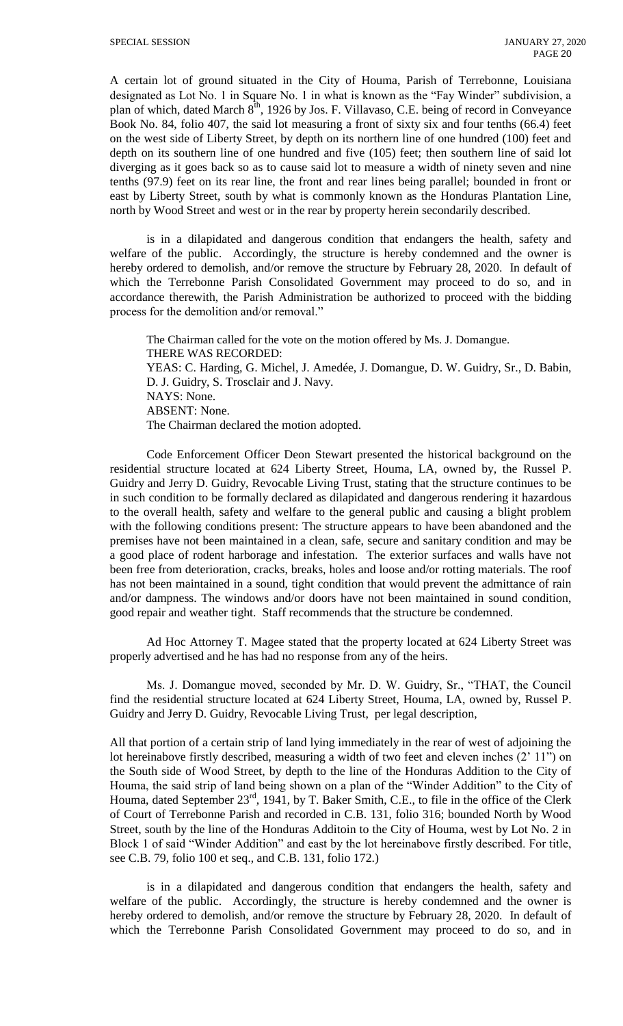A certain lot of ground situated in the City of Houma, Parish of Terrebonne, Louisiana designated as Lot No. 1 in Square No. 1 in what is known as the "Fay Winder" subdivision, a plan of which, dated March 8<sup>th</sup>, 1926 by Jos. F. Villavaso, C.E. being of record in Conveyance Book No. 84, folio 407, the said lot measuring a front of sixty six and four tenths (66.4) feet on the west side of Liberty Street, by depth on its northern line of one hundred (100) feet and depth on its southern line of one hundred and five (105) feet; then southern line of said lot diverging as it goes back so as to cause said lot to measure a width of ninety seven and nine tenths (97.9) feet on its rear line, the front and rear lines being parallel; bounded in front or east by Liberty Street, south by what is commonly known as the Honduras Plantation Line, north by Wood Street and west or in the rear by property herein secondarily described.

is in a dilapidated and dangerous condition that endangers the health, safety and welfare of the public. Accordingly, the structure is hereby condemned and the owner is hereby ordered to demolish, and/or remove the structure by February 28, 2020. In default of which the Terrebonne Parish Consolidated Government may proceed to do so, and in accordance therewith, the Parish Administration be authorized to proceed with the bidding process for the demolition and/or removal."

The Chairman called for the vote on the motion offered by Ms. J. Domangue. THERE WAS RECORDED: YEAS: C. Harding, G. Michel, J. Amedée, J. Domangue, D. W. Guidry, Sr., D. Babin, D. J. Guidry, S. Trosclair and J. Navy. NAYS: None. ABSENT: None. The Chairman declared the motion adopted.

Code Enforcement Officer Deon Stewart presented the historical background on the residential structure located at 624 Liberty Street, Houma, LA, owned by*,* the Russel P. Guidry and Jerry D. Guidry, Revocable Living Trust, stating that the structure continues to be in such condition to be formally declared as dilapidated and dangerous rendering it hazardous to the overall health, safety and welfare to the general public and causing a blight problem with the following conditions present: The structure appears to have been abandoned and the premises have not been maintained in a clean, safe, secure and sanitary condition and may be a good place of rodent harborage and infestation. The exterior surfaces and walls have not been free from deterioration, cracks, breaks, holes and loose and/or rotting materials. The roof has not been maintained in a sound, tight condition that would prevent the admittance of rain and/or dampness. The windows and/or doors have not been maintained in sound condition, good repair and weather tight. Staff recommends that the structure be condemned.

Ad Hoc Attorney T. Magee stated that the property located at 624 Liberty Street was properly advertised and he has had no response from any of the heirs.

Ms. J. Domangue moved, seconded by Mr. D. W. Guidry, Sr., "THAT, the Council find the residential structure located at 624 Liberty Street, Houma, LA, owned by, Russel P. Guidry and Jerry D. Guidry, Revocable Living Trust, per legal description,

All that portion of a certain strip of land lying immediately in the rear of west of adjoining the lot hereinabove firstly described, measuring a width of two feet and eleven inches (2' 11") on the South side of Wood Street, by depth to the line of the Honduras Addition to the City of Houma, the said strip of land being shown on a plan of the "Winder Addition" to the City of Houma, dated September 23<sup>rd</sup>, 1941, by T. Baker Smith, C.E., to file in the office of the Clerk of Court of Terrebonne Parish and recorded in C.B. 131, folio 316; bounded North by Wood Street, south by the line of the Honduras Additoin to the City of Houma, west by Lot No. 2 in Block 1 of said "Winder Addition" and east by the lot hereinabove firstly described. For title, see C.B. 79, folio 100 et seq., and C.B. 131, folio 172.)

is in a dilapidated and dangerous condition that endangers the health, safety and welfare of the public. Accordingly, the structure is hereby condemned and the owner is hereby ordered to demolish, and/or remove the structure by February 28, 2020. In default of which the Terrebonne Parish Consolidated Government may proceed to do so, and in